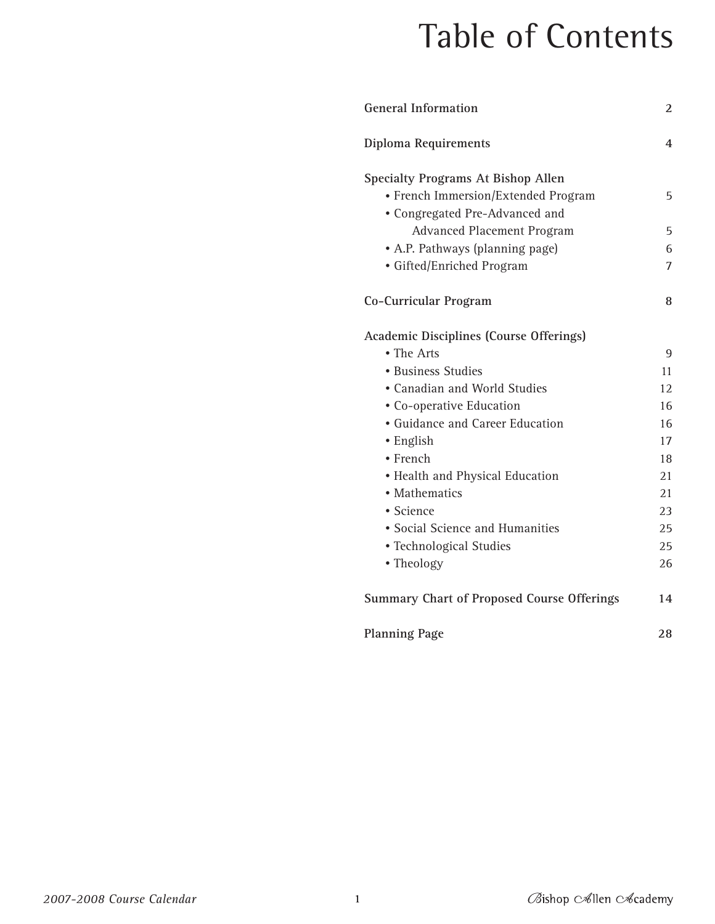# Table of Contents

| <b>General Information</b>                        | 2  |
|---------------------------------------------------|----|
| Diploma Requirements                              | 4  |
| <b>Specialty Programs At Bishop Allen</b>         |    |
| · French Immersion/Extended Program               | 5  |
| • Congregated Pre-Advanced and                    |    |
| <b>Advanced Placement Program</b>                 | 5  |
| • A.P. Pathways (planning page)                   | 6  |
| • Gifted/Enriched Program                         | 7  |
| Co-Curricular Program                             | 8  |
| <b>Academic Disciplines (Course Offerings)</b>    |    |
| • The Arts                                        | 9  |
| • Business Studies                                | 11 |
| • Canadian and World Studies                      | 12 |
| • Co-operative Education                          | 16 |
| • Guidance and Career Education                   | 16 |
| $\bullet$ English                                 | 17 |
| • French                                          | 18 |
| • Health and Physical Education                   | 21 |
| • Mathematics                                     | 21 |
| • Science                                         | 23 |
| • Social Science and Humanities                   | 25 |
| • Technological Studies                           | 25 |
| • Theology                                        | 26 |
| <b>Summary Chart of Proposed Course Offerings</b> | 14 |
| <b>Planning Page</b>                              | 28 |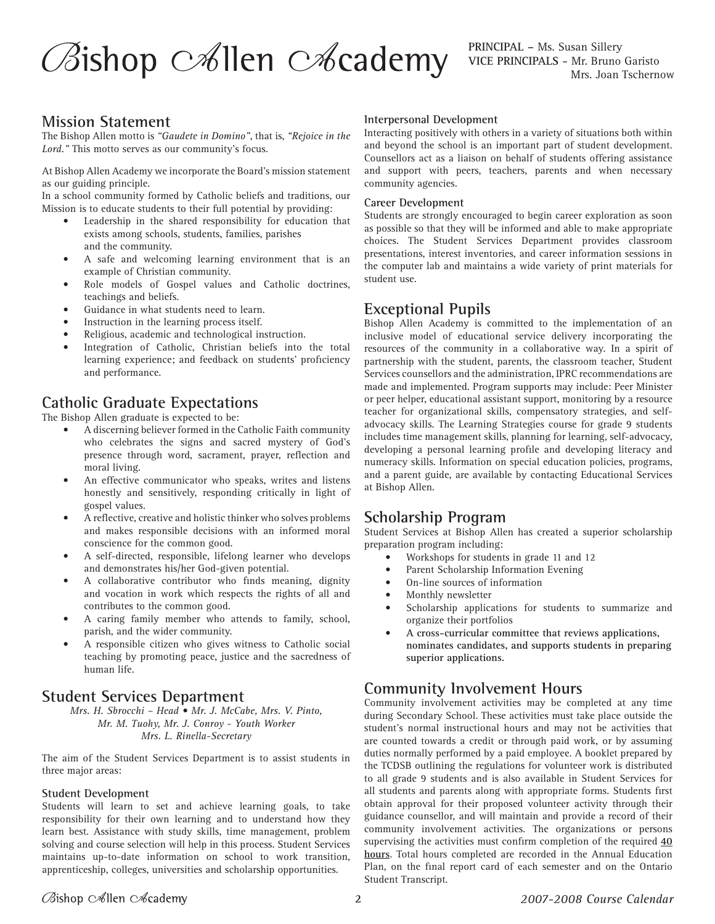# $\oslash$ ishop  $\oslash$ illen  $\oslash$ icademy

## **Mission Statement**

The Bishop Allen motto is *"Gaudete in Domino"*, that is, *"Rejoice in the Lord."* This motto serves as our community's focus.

At Bishop Allen Academy we incorporate the Board's mission statement as our guiding principle.

In a school community formed by Catholic beliefs and traditions, our Mission is to educate students to their full potential by providing:

- Leadership in the shared responsibility for education that exists among schools, students, families, parishes and the community.
- A safe and welcoming learning environment that is an example of Christian community.
- Role models of Gospel values and Catholic doctrines, teachings and beliefs.
- Guidance in what students need to learn.
- Instruction in the learning process itself.
- Religious, academic and technological instruction.
- Integration of Catholic, Christian beliefs into the total learning experience; and feedback on students' proficiency and performance.

# **Catholic Graduate Expectations**

The Bishop Allen graduate is expected to be:

- A discerning believer formed in the Catholic Faith community who celebrates the signs and sacred mystery of God's presence through word, sacrament, prayer, reflection and moral living.
- An effective communicator who speaks, writes and listens honestly and sensitively, responding critically in light of gospel values.
- A reflective, creative and holistic thinker who solves problems and makes responsible decisions with an informed moral conscience for the common good.
- A self-directed, responsible, lifelong learner who develops and demonstrates his/her God-given potential.
- A collaborative contributor who finds meaning, dignity and vocation in work which respects the rights of all and contributes to the common good.
- A caring family member who attends to family, school, parish, and the wider community.
- A responsible citizen who gives witness to Catholic social teaching by promoting peace, justice and the sacredness of human life.

# **Student Services Department**

*Mrs. H. Sbrocchi – Head • Mr. J. McCabe, Mrs. V. Pinto, Mr. M. Tuohy, Mr. J. Conroy - Youth Worker Mrs. L. Rinella-Secretary*

The aim of the Student Services Department is to assist students in three major areas:

#### **Student Development**

Students will learn to set and achieve learning goals, to take responsibility for their own learning and to understand how they learn best. Assistance with study skills, time management, problem solving and course selection will help in this process. Student Services maintains up-to-date information on school to work transition, apprenticeship, colleges, universities and scholarship opportunities.

#### **Interpersonal Development**

Interacting positively with others in a variety of situations both within and beyond the school is an important part of student development. Counsellors act as a liaison on behalf of students offering assistance and support with peers, teachers, parents and when necessary community agencies.

#### **Career Development**

Students are strongly encouraged to begin career exploration as soon as possible so that they will be informed and able to make appropriate choices. The Student Services Department provides classroom presentations, interest inventories, and career information sessions in the computer lab and maintains a wide variety of print materials for student use.

## **Exceptional Pupils**

Bishop Allen Academy is committed to the implementation of an inclusive model of educational service delivery incorporating the resources of the community in a collaborative way. In a spirit of partnership with the student, parents, the classroom teacher, Student Services counsellors and the administration, IPRC recommendations are made and implemented. Program supports may include: Peer Minister or peer helper, educational assistant support, monitoring by a resource teacher for organizational skills, compensatory strategies, and selfadvocacy skills. The Learning Strategies course for grade 9 students includes time management skills, planning for learning, self-advocacy, developing a personal learning profile and developing literacy and numeracy skills. Information on special education policies, programs, and a parent guide, are available by contacting Educational Services at Bishop Allen.

# **Scholarship Program**

Student Services at Bishop Allen has created a superior scholarship preparation program including:

- Workshops for students in grade 11 and 12
- Parent Scholarship Information Evening
- On-line sources of information
- Monthly newsletter
- Scholarship applications for students to summarize and organize their portfolios
- **A cross-curricular committee that reviews applications, nominates candidates, and supports students in preparing superior applications.**

# **Community Involvement Hours**

Community involvement activities may be completed at any time during Secondary School. These activities must take place outside the student's normal instructional hours and may not be activities that are counted towards a credit or through paid work, or by assuming duties normally performed by a paid employee. A booklet prepared by the TCDSB outlining the regulations for volunteer work is distributed to all grade 9 students and is also available in Student Services for all students and parents along with appropriate forms. Students first obtain approval for their proposed volunteer activity through their guidance counsellor, and will maintain and provide a record of their community involvement activities. The organizations or persons supervising the activities must confirm completion of the required **40 hours**. Total hours completed are recorded in the Annual Education Plan, on the final report card of each semester and on the Ontario Student Transcript.

## Øishop c∕∕illen c∕⁄cademy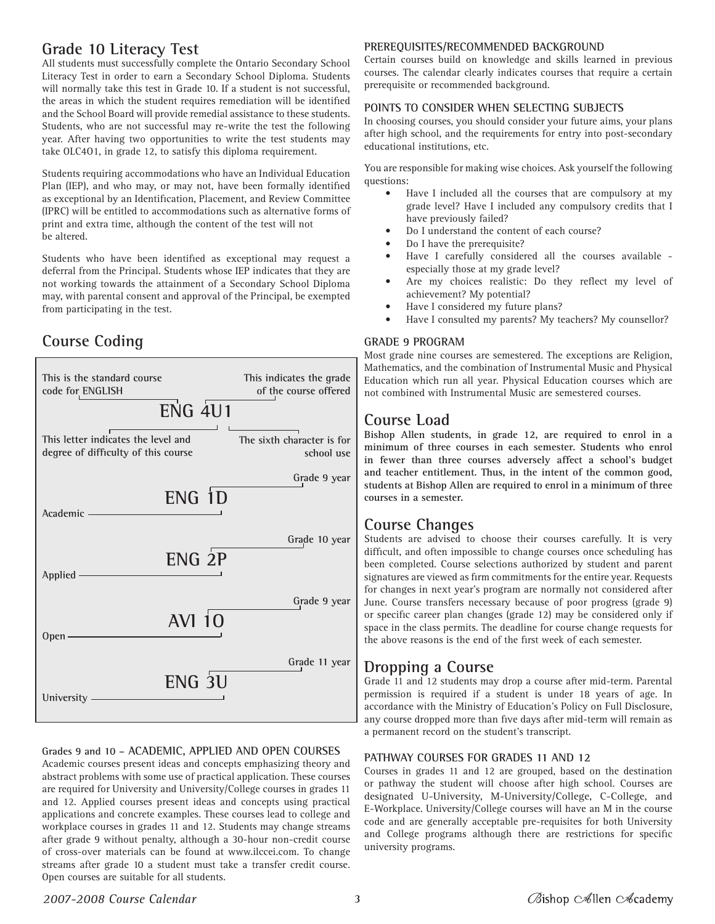# **Grade 10 Literacy Test**

All students must successfully complete the Ontario Secondary School Literacy Test in order to earn a Secondary School Diploma. Students will normally take this test in Grade 10. If a student is not successful, the areas in which the student requires remediation will be identified and the School Board will provide remedial assistance to these students. Students, who are not successful may re-write the test the following year. After having two opportunities to write the test students may take OLC4O1, in grade 12, to satisfy this diploma requirement.

Students requiring accommodations who have an Individual Education Plan (IEP), and who may, or may not, have been formally identified as exceptional by an Identification, Placement, and Review Committee (IPRC) will be entitled to accommodations such as alternative forms of print and extra time, although the content of the test will not be altered.

Students who have been identified as exceptional may request a deferral from the Principal. Students whose IEP indicates that they are not working towards the attainment of a Secondary School Diploma may, with parental consent and approval of the Principal, be exempted from participating in the test.

# **Course Coding**



#### **Grades 9 and 10 – ACADEMIC, APPLIED AND OPEN COURSES**

Academic courses present ideas and concepts emphasizing theory and abstract problems with some use of practical application. These courses are required for University and University/College courses in grades 11 and 12. Applied courses present ideas and concepts using practical applications and concrete examples. These courses lead to college and workplace courses in grades 11 and 12. Students may change streams after grade 9 without penalty, although a 30-hour non-credit course of cross-over materials can be found at www.ilccei.com. To change streams after grade 10 a student must take a transfer credit course. Open courses are suitable for all students.

#### **PREREQUISITES/RECOMMENDED BACKGROUND**

Certain courses build on knowledge and skills learned in previous courses. The calendar clearly indicates courses that require a certain prerequisite or recommended background.

#### **POINTS TO CONSIDER WHEN SELECTING SUBJECTS**

In choosing courses, you should consider your future aims, your plans after high school, and the requirements for entry into post-secondary educational institutions, etc.

You are responsible for making wise choices. Ask yourself the following questions:

- Have I included all the courses that are compulsory at my grade level? Have I included any compulsory credits that I have previously failed?
- Do I understand the content of each course?
- Do I have the prerequisite?
- Have I carefully considered all the courses available especially those at my grade level?
- Are my choices realistic: Do they reflect my level of achievement? My potential?
- Have I considered my future plans?
- Have I consulted my parents? My teachers? My counsellor?

#### **GRADE 9 PROGRAM**

Most grade nine courses are semestered. The exceptions are Religion, Mathematics, and the combination of Instrumental Music and Physical Education which run all year. Physical Education courses which are not combined with Instrumental Music are semestered courses.

## **Course Load**

**Bishop Allen students, in grade 12, are required to enrol in a minimum of three courses in each semester. Students who enrol in fewer than three courses adversely affect a school's budget and teacher entitlement. Thus, in the intent of the common good, students at Bishop Allen are required to enrol in a minimum of three courses in a semester.**

## **Course Changes**

Students are advised to choose their courses carefully. It is very difficult, and often impossible to change courses once scheduling has been completed. Course selections authorized by student and parent signatures are viewed as firm commitments for the entire year. Requests for changes in next year's program are normally not considered after June. Course transfers necessary because of poor progress (grade 9) or specific career plan changes (grade 12) may be considered only if space in the class permits. The deadline for course change requests for the above reasons is the end of the first week of each semester.

## **Dropping a Course**

Grade 11 and 12 students may drop a course after mid-term. Parental permission is required if a student is under 18 years of age. In accordance with the Ministry of Education's Policy on Full Disclosure, any course dropped more than five days after mid-term will remain as a permanent record on the student's transcript.

#### **PATHWAY COURSES FOR GRADES 11 AND 12**

Courses in grades 11 and 12 are grouped, based on the destination or pathway the student will choose after high school. Courses are designated U-University, M-University/College, C-College, and E-Workplace. University/College courses will have an M in the course code and are generally acceptable pre-requisites for both University and College programs although there are restrictions for specific university programs.

#### *2007-2008 Course Calendar*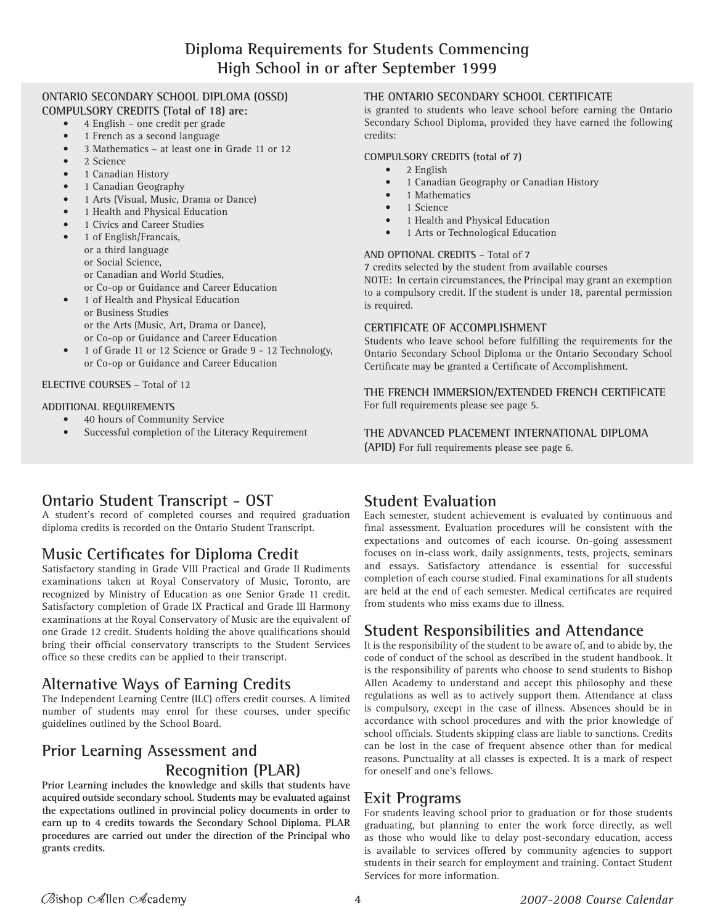## **ONTARIO SECONDARY SCHOOL DIPLOMA (OSSD)**

- **COMPULSORY CREDITS (Total of 18) are:**
	- 4 English one credit per grade • 1 French as a second language
	- 3 Mathematics at least one in Grade 11 or 12
	- 2 Science
	- 1 Canadian History
	- 1 Canadian Geography
	- 1 Arts (Visual, Music, Drama or Dance)
	- 1 Health and Physical Education
	- 1 Civics and Career Studies
	- 1 of English/Francais, or a third language or Social Science, or Canadian and World Studies,
		- or Co-op or Guidance and Career Education
	- 1 of Health and Physical Education or Business Studies or the Arts (Music, Art, Drama or Dance), or Co-op or Guidance and Career Education
	- 1 of Grade 11 or 12 Science or Grade 9 12 Technology, or Co-op or Guidance and Career Education

#### **ELECTIVE COURSES** – Total of 12

#### **ADDITIONAL REQUIREMENTS**

- 40 hours of Community Service
- Successful completion of the Literacy Requirement

#### **THE ONTARIO SECONDARY SCHOOL CERTIFICATE**

is granted to students who leave school before earning the Ontario Secondary School Diploma, provided they have earned the following credits:

#### **COMPULSORY CREDITS (total of 7)**

- 2 English
- 1 Canadian Geography or Canadian History
- 1 Mathematics
- 1 Science
- 1 Health and Physical Education
- 1 Arts or Technological Education

#### **AND OPTIONAL CREDITS** – Total of 7

7 credits selected by the student from available courses NOTE: In certain circumstances, the Principal may grant an exemption to a compulsory credit. If the student is under 18, parental permission is required.

#### **CERTIFICATE OF ACCOMPLISHMENT**

Students who leave school before fulfilling the requirements for the Ontario Secondary School Diploma or the Ontario Secondary School Certificate may be granted a Certificate of Accomplishment.

**THE FRENCH IMMERSION/EXTENDED FRENCH CERTIFICATE** For full requirements please see page 5.

**THE ADVANCED PLACEMENT INTERNATIONAL DIPLOMA (APID)** For full requirements please see page 6.

# **Ontario Student Transcript - OST**

A student's record of completed courses and required graduation diploma credits is recorded on the Ontario Student Transcript.

# **Music Certificates for Diploma Credit**

Satisfactory standing in Grade VIII Practical and Grade II Rudiments examinations taken at Royal Conservatory of Music, Toronto, are recognized by Ministry of Education as one Senior Grade 11 credit. Satisfactory completion of Grade IX Practical and Grade III Harmony examinations at the Royal Conservatory of Music are the equivalent of one Grade 12 credit. Students holding the above qualifications should bring their official conservatory transcripts to the Student Services office so these credits can be applied to their transcript.

# **Alternative Ways of Earning Credits**

The Independent Learning Centre (ILC) offers credit courses. A limited number of students may enrol for these courses, under specific guidelines outlined by the School Board.

# **Prior Learning Assessment and Recognition (PLAR)**

**Prior Learning includes the knowledge and skills that students have acquired outside secondary school. Students may be evaluated against the expectations outlined in provincial policy documents in order to earn up to 4 credits towards the Secondary School Diploma. PLAR procedures are carried out under the direction of the Principal who grants credits.**

# **Student Evaluation**

Each semester, student achievement is evaluated by continuous and final assessment. Evaluation procedures will be consistent with the expectations and outcomes of each icourse. On-going assessment focuses on in-class work, daily assignments, tests, projects, seminars and essays. Satisfactory attendance is essential for successful completion of each course studied. Final examinations for all students are held at the end of each semester. Medical certificates are required from students who miss exams due to illness.

# **Student Responsibilities and Attendance**

It is the responsibility of the student to be aware of, and to abide by, the code of conduct of the school as described in the student handbook. It is the responsibility of parents who choose to send students to Bishop Allen Academy to understand and accept this philosophy and these regulations as well as to actively support them. Attendance at class is compulsory, except in the case of illness. Absences should be in accordance with school procedures and with the prior knowledge of school officials. Students skipping class are liable to sanctions. Credits can be lost in the case of frequent absence other than for medical reasons. Punctuality at all classes is expected. It is a mark of respect for oneself and one's fellows.

# **Exit Programs**

For students leaving school prior to graduation or for those students graduating, but planning to enter the work force directly, as well as those who would like to delay post-secondary education, access is available to services offered by community agencies to support students in their search for employment and training. Contact Student Services for more information.

Øishop c∕ollen c∕ocademy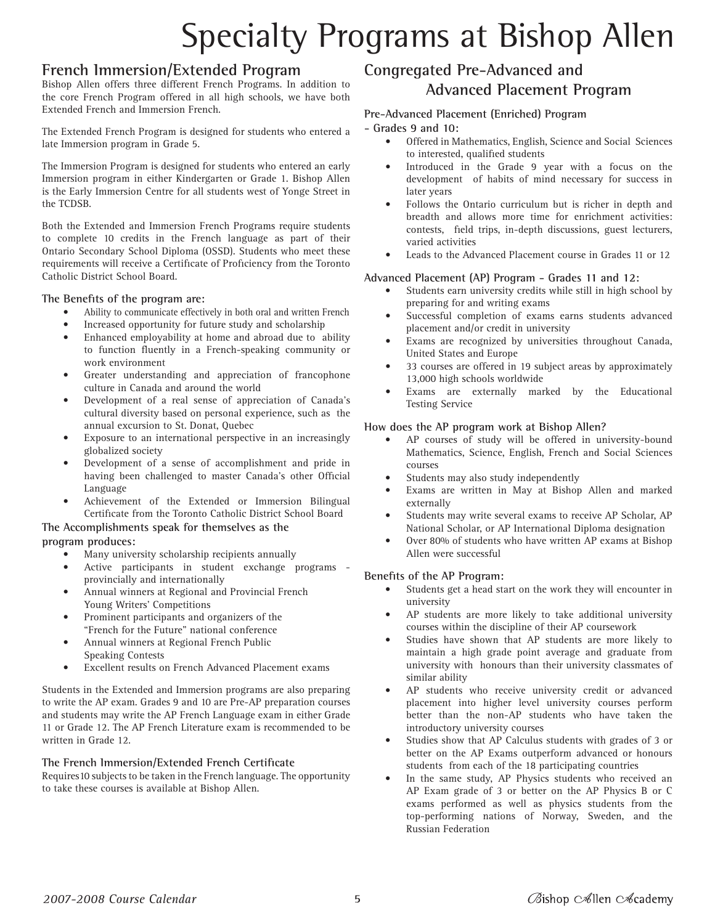# Specialty Programs at Bishop Allen

## **French Immersion/Extended Program**

Bishop Allen offers three different French Programs. In addition to the core French Program offered in all high schools, we have both Extended French and Immersion French.

The Extended French Program is designed for students who entered a late Immersion program in Grade 5.

The Immersion Program is designed for students who entered an early Immersion program in either Kindergarten or Grade 1. Bishop Allen is the Early Immersion Centre for all students west of Yonge Street in the TCDSB.

Both the Extended and Immersion French Programs require students to complete 10 credits in the French language as part of their Ontario Secondary School Diploma (OSSD). Students who meet these requirements will receive a Certificate of Proficiency from the Toronto Catholic District School Board.

#### **The Benefits of the program are:**

- Ability to communicate effectively in both oral and written French
- Increased opportunity for future study and scholarship
- Enhanced employability at home and abroad due to ability to function fluently in a French-speaking community or work environment
- Greater understanding and appreciation of francophone culture in Canada and around the world
- Development of a real sense of appreciation of Canada's cultural diversity based on personal experience, such as the annual excursion to St. Donat, Quebec
- Exposure to an international perspective in an increasingly globalized society
- Development of a sense of accomplishment and pride in having been challenged to master Canada's other Official Language
- Achievement of the Extended or Immersion Bilingual Certificate from the Toronto Catholic District School Board

#### **The Accomplishments speak for themselves as the program produces:**

- Many university scholarship recipients annually
- Active participants in student exchange programs provincially and internationally
- Annual winners at Regional and Provincial French Young Writers' Competitions
- Prominent participants and organizers of the "French for the Future" national conference
- Annual winners at Regional French Public Speaking Contests
- Excellent results on French Advanced Placement exams

Students in the Extended and Immersion programs are also preparing to write the AP exam. Grades 9 and 10 are Pre-AP preparation courses and students may write the AP French Language exam in either Grade 11 or Grade 12. The AP French Literature exam is recommended to be written in Grade 12.

#### **The French Immersion/Extended French Certificate**

Requires10 subjects to be taken in the French language. The opportunity to take these courses is available at Bishop Allen.

# **Congregated Pre-Advanced and Advanced Placement Program**

#### **Pre-Advanced Placement (Enriched) Program**

#### **- Grades 9 and 10:**

- Offered in Mathematics, English, Science and Social Sciences to interested, qualified students
- Introduced in the Grade 9 year with a focus on the development of habits of mind necessary for success in later years
- Follows the Ontario curriculum but is richer in depth and breadth and allows more time for enrichment activities: contests, field trips, in-depth discussions, guest lecturers, varied activities
- Leads to the Advanced Placement course in Grades 11 or 12

#### **Advanced Placement (AP) Program - Grades 11 and 12:**

- Students earn university credits while still in high school by preparing for and writing exams
- Successful completion of exams earns students advanced placement and/or credit in university
- Exams are recognized by universities throughout Canada, United States and Europe
- 33 courses are offered in 19 subject areas by approximately 13,000 high schools worldwide
- Exams are externally marked by the Educational Testing Service

#### **How does the AP program work at Bishop Allen?**

- AP courses of study will be offered in university-bound Mathematics, Science, English, French and Social Sciences courses
- Students may also study independently
- Exams are written in May at Bishop Allen and marked externally
- Students may write several exams to receive AP Scholar, AP National Scholar, or AP International Diploma designation
- Over 80% of students who have written AP exams at Bishop Allen were successful

#### **Benefits of the AP Program:**

- Students get a head start on the work they will encounter in university
- AP students are more likely to take additional university courses within the discipline of their AP coursework
- Studies have shown that AP students are more likely to maintain a high grade point average and graduate from university with honours than their university classmates of similar ability
- AP students who receive university credit or advanced placement into higher level university courses perform better than the non-AP students who have taken the introductory university courses
- Studies show that AP Calculus students with grades of 3 or better on the AP Exams outperform advanced or honours students from each of the 18 participating countries
- In the same study, AP Physics students who received an AP Exam grade of 3 or better on the AP Physics B or C exams performed as well as physics students from the top-performing nations of Norway, Sweden, and the Russian Federation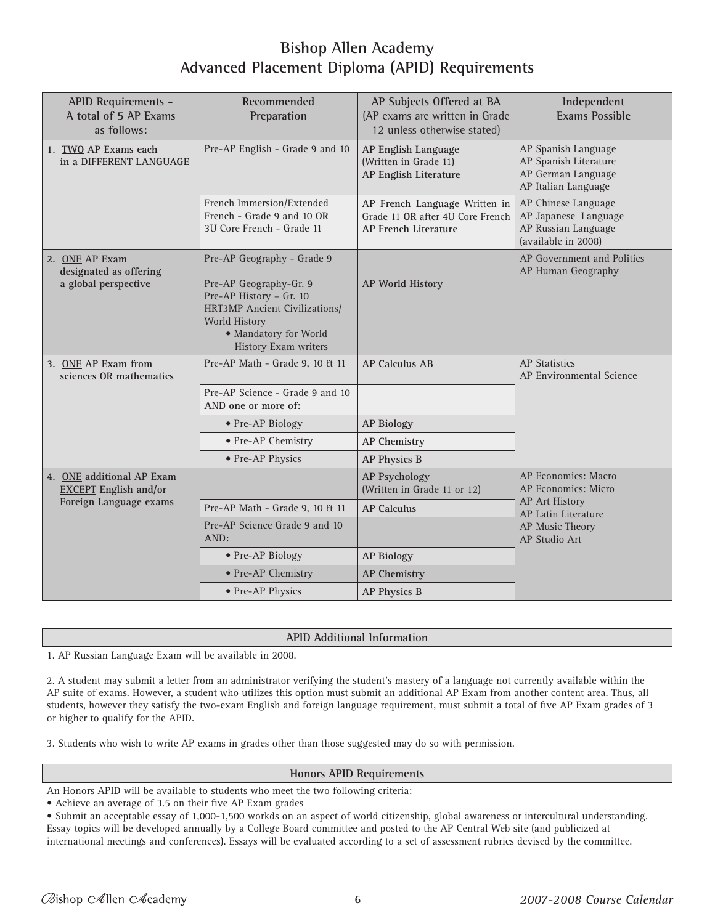# **Bishop Allen Academy Advanced Placement Diploma (APID) Requirements**

| <b>APID Requirements -</b><br>A total of 5 AP Exams<br>as follows: | Recommended<br>Preparation                                                                                                                                                         | AP Subjects Offered at BA<br>(AP exams are written in Grade<br>12 unless otherwise stated) | Independent<br><b>Exams Possible</b>                                                      |
|--------------------------------------------------------------------|------------------------------------------------------------------------------------------------------------------------------------------------------------------------------------|--------------------------------------------------------------------------------------------|-------------------------------------------------------------------------------------------|
| 1. TWO AP Exams each<br>in a DIFFERENT LANGUAGE                    | Pre-AP English - Grade 9 and 10                                                                                                                                                    | AP English Language<br>(Written in Grade 11)<br>AP English Literature                      | AP Spanish Language<br>AP Spanish Literature<br>AP German Language<br>AP Italian Language |
|                                                                    | French Immersion/Extended<br>French - Grade 9 and 10 OR<br>3U Core French - Grade 11                                                                                               | AP French Language Written in<br>Grade 11 OR after 4U Core French<br>AP French Literature  | AP Chinese Language<br>AP Japanese Language<br>AP Russian Language<br>(available in 2008) |
| 2. ONE AP Exam<br>designated as offering<br>a global perspective   | Pre-AP Geography - Grade 9<br>Pre-AP Geography-Gr. 9<br>Pre-AP History - Gr. 10<br>HRT3MP Ancient Civilizations/<br>World History<br>• Mandatory for World<br>History Exam writers | AP World History                                                                           | AP Government and Politics<br>AP Human Geography                                          |
| 3. ONE AP Exam from<br>sciences OR mathematics                     | Pre-AP Math - Grade 9, 10 & 11                                                                                                                                                     | <b>AP Calculus AB</b>                                                                      | <b>AP</b> Statistics<br>AP Environmental Science                                          |
|                                                                    | Pre-AP Science - Grade 9 and 10<br>AND one or more of:                                                                                                                             |                                                                                            |                                                                                           |
|                                                                    | • Pre-AP Biology                                                                                                                                                                   | <b>AP Biology</b>                                                                          |                                                                                           |
|                                                                    | • Pre-AP Chemistry                                                                                                                                                                 | <b>AP Chemistry</b>                                                                        |                                                                                           |
|                                                                    | • Pre-AP Physics                                                                                                                                                                   | AP Physics B                                                                               |                                                                                           |
| 4. ONE additional AP Exam<br><b>EXCEPT</b> English and/or          |                                                                                                                                                                                    | <b>AP Psychology</b><br>(Written in Grade 11 or 12)                                        | AP Economics: Macro<br>AP Economics: Micro                                                |
| Foreign Language exams                                             | Pre-AP Math - Grade 9, 10 & 11                                                                                                                                                     | <b>AP Calculus</b>                                                                         | <b>AP Art History</b><br>AP Latin Literature                                              |
|                                                                    | Pre-AP Science Grade 9 and 10<br>AND:                                                                                                                                              |                                                                                            | AP Music Theory<br>AP Studio Art                                                          |
|                                                                    | • Pre-AP Biology                                                                                                                                                                   | <b>AP Biology</b>                                                                          |                                                                                           |
|                                                                    | • Pre-AP Chemistry                                                                                                                                                                 | <b>AP Chemistry</b>                                                                        |                                                                                           |
|                                                                    | • Pre-AP Physics                                                                                                                                                                   | AP Physics B                                                                               |                                                                                           |

#### **APID Additional Information**

1. AP Russian Language Exam will be available in 2008.

2. A student may submit a letter from an administrator verifying the student's mastery of a language not currently available within the AP suite of exams. However, a student who utilizes this option must submit an additional AP Exam from another content area. Thus, all students, however they satisfy the two-exam English and foreign language requirement, must submit a total of five AP Exam grades of 3 or higher to qualify for the APID.

3. Students who wish to write AP exams in grades other than those suggested may do so with permission.

#### **Honors APID Requirements**

An Honors APID will be available to students who meet the two following criteria:

• Achieve an average of 3.5 on their five AP Exam grades

• Submit an acceptable essay of 1,000-1,500 workds on an aspect of world citizenship, global awareness or intercultural understanding. Essay topics will be developed annually by a College Board committee and posted to the AP Central Web site (and publicized at international meetings and conferences). Essays will be evaluated according to a set of assessment rubrics devised by the committee.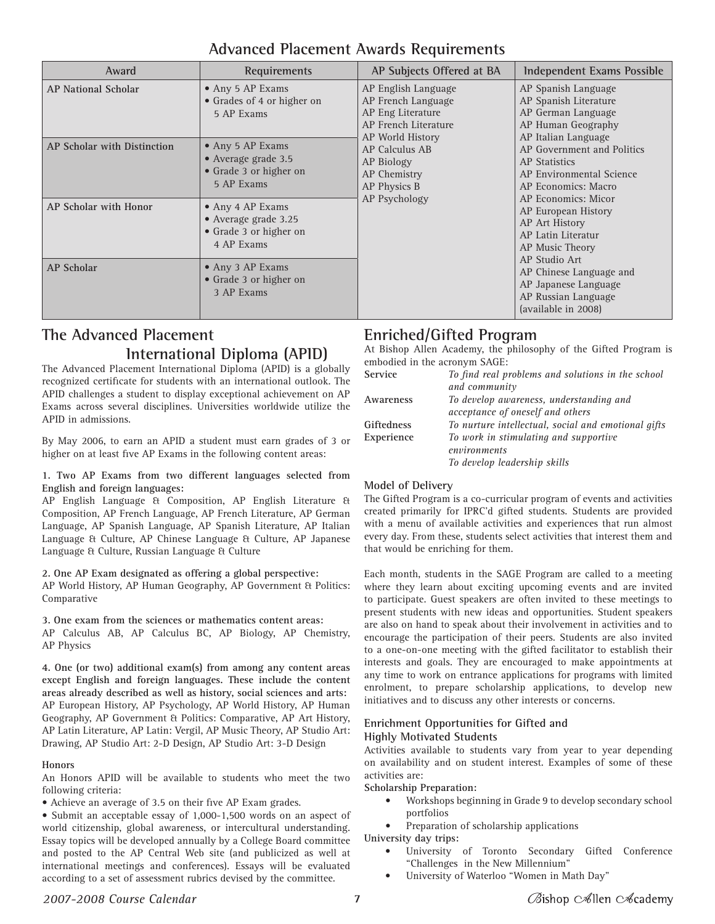| Award                       | Requirements                                                                     | AP Subjects Offered at BA                                                                                  | Independent Exams Possible                                                                                                   |
|-----------------------------|----------------------------------------------------------------------------------|------------------------------------------------------------------------------------------------------------|------------------------------------------------------------------------------------------------------------------------------|
| <b>AP National Scholar</b>  | • Any 5 AP Exams<br>• Grades of 4 or higher on<br>5 AP Exams                     | AP English Language<br>AP French Language<br>AP Eng Literature<br>AP French Literature<br>AP World History | AP Spanish Language<br>AP Spanish Literature<br>AP German Language<br>AP Human Geography<br>AP Italian Language              |
| AP Scholar with Distinction | • Any 5 AP Exams<br>• Average grade 3.5<br>• Grade 3 or higher on<br>5 AP Exams  | AP Calculus AB<br>AP Biology<br>AP Chemistry<br>AP Physics B                                               | AP Government and Politics<br><b>AP</b> Statistics<br>AP Environmental Science<br>AP Economics: Macro<br>AP Economics: Micor |
| AP Scholar with Honor       | • Any 4 AP Exams<br>• Average grade 3.25<br>• Grade 3 or higher on<br>4 AP Exams | AP Psychology                                                                                              | AP European History<br>AP Art History<br>AP Latin Literatur<br>AP Music Theory                                               |
| <b>AP</b> Scholar           | • Any 3 AP Exams<br>• Grade 3 or higher on<br>3 AP Exams                         |                                                                                                            | AP Studio Art<br>AP Chinese Language and<br>AP Japanese Language<br>AP Russian Language<br>(available in 2008)               |

# **Advanced Placement Awards Requirements**

# **The Advanced Placement International Diploma (APID)**

The Advanced Placement International Diploma (APID) is a globally recognized certificate for students with an international outlook. The APID challenges a student to display exceptional achievement on AP Exams across several disciplines. Universities worldwide utilize the APID in admissions.

By May 2006, to earn an APID a student must earn grades of 3 or higher on at least five AP Exams in the following content areas:

**1. Two AP Exams from two different languages selected from English and foreign languages:**

AP English Language & Composition, AP English Literature & Composition, AP French Language, AP French Literature, AP German Language, AP Spanish Language, AP Spanish Literature, AP Italian Language & Culture, AP Chinese Language & Culture, AP Japanese Language & Culture, Russian Language & Culture

#### **2. One AP Exam designated as offering a global perspective:**

AP World History, AP Human Geography, AP Government & Politics: Comparative

**3. One exam from the sciences or mathematics content areas:** AP Calculus AB, AP Calculus BC, AP Biology, AP Chemistry, AP Physics

**4. One (or two) additional exam(s) from among any content areas except English and foreign languages. These include the content areas already described as well as history, social sciences and arts:** AP European History, AP Psychology, AP World History, AP Human Geography, AP Government & Politics: Comparative, AP Art History, AP Latin Literature, AP Latin: Vergil, AP Music Theory, AP Studio Art: Drawing, AP Studio Art: 2-D Design, AP Studio Art: 3-D Design

#### **Honors**

An Honors APID will be available to students who meet the two following criteria:

• Achieve an average of 3.5 on their five AP Exam grades.

• Submit an acceptable essay of 1,000-1,500 words on an aspect of world citizenship, global awareness, or intercultural understanding. Essay topics will be developed annually by a College Board committee and posted to the AP Central Web site (and publicized as well at international meetings and conferences). Essays will be evaluated according to a set of assessment rubrics devised by the committee.

# **Enriched/Gifted Program**

At Bishop Allen Academy, the philosophy of the Gifted Program is embodied in the acronym SAGE:

| Service    | To find real problems and solutions in the school   |
|------------|-----------------------------------------------------|
|            | and community                                       |
| Awareness  | To develop awareness, understanding and             |
|            | acceptance of oneself and others                    |
| Giftedness | To nurture intellectual, social and emotional gifts |
| Experience | To work in stimulating and supportive               |
|            | environments                                        |
|            | To develop leadership skills                        |
|            |                                                     |

#### **Model of Delivery**

The Gifted Program is a co-curricular program of events and activities created primarily for IPRC'd gifted students. Students are provided with a menu of available activities and experiences that run almost every day. From these, students select activities that interest them and that would be enriching for them.

Each month, students in the SAGE Program are called to a meeting where they learn about exciting upcoming events and are invited to participate. Guest speakers are often invited to these meetings to present students with new ideas and opportunities. Student speakers are also on hand to speak about their involvement in activities and to encourage the participation of their peers. Students are also invited to a one-on-one meeting with the gifted facilitator to establish their interests and goals. They are encouraged to make appointments at any time to work on entrance applications for programs with limited enrolment, to prepare scholarship applications, to develop new initiatives and to discuss any other interests or concerns.

#### **Enrichment Opportunities for Gifted and Highly Motivated Students**

Activities available to students vary from year to year depending on availability and on student interest. Examples of some of these activities are:

**Scholarship Preparation:**

- Workshops beginning in Grade 9 to develop secondary school portfolios
- Preparation of scholarship applications

**University day trips:**

- University of Toronto Secondary Gifted Conference "Challenges in the New Millennium"
- University of Waterloo "Women in Math Day"

#### *2007-2008 Course Calendar*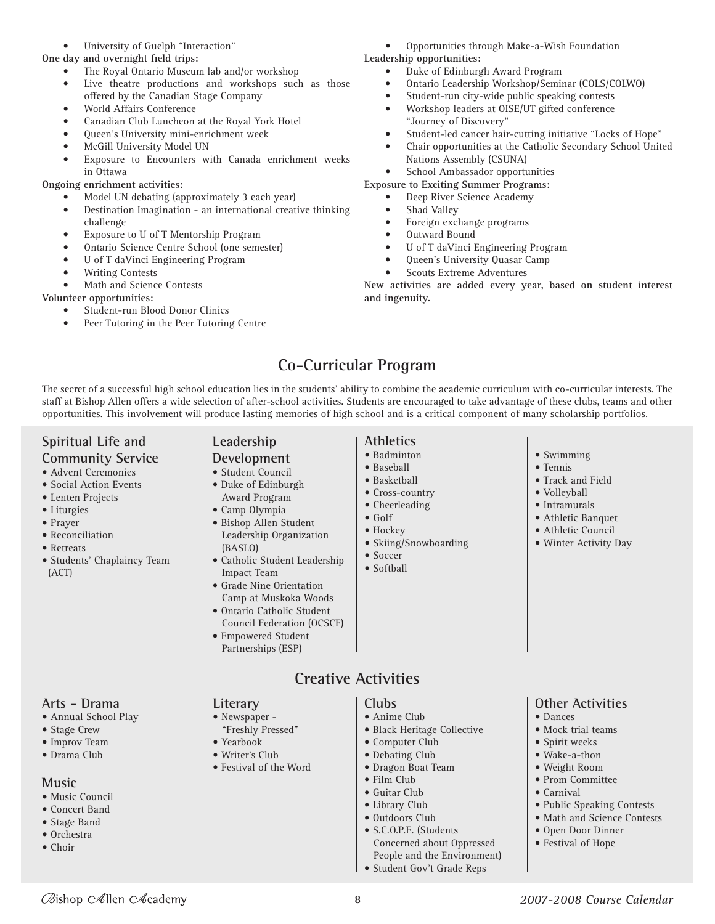#### • University of Guelph "Interaction"

**One day and overnight field trips:**

- The Royal Ontario Museum lab and/or workshop
- Live theatre productions and workshops such as those offered by the Canadian Stage Company
- World Affairs Conference
- Canadian Club Luncheon at the Royal York Hotel
- Queen's University mini-enrichment week
- McGill University Model UN
- Exposure to Encounters with Canada enrichment weeks in Ottawa

#### **Ongoing enrichment activities:**

- Model UN debating (approximately 3 each year)
- Destination Imagination an international creative thinking challenge
- Exposure to U of T Mentorship Program
- Ontario Science Centre School (one semester)
- U of T daVinci Engineering Program
- Writing Contests
- Math and Science Contests

#### **Volunteer opportunities:**

- Student-run Blood Donor Clinics
- Peer Tutoring in the Peer Tutoring Centre
- Opportunities through Make-a-Wish Foundation
- **Leadership opportunities:** • Duke of Edinburgh Award Program
	- Ontario Leadership Workshop/Seminar (COLS/COLWO)
	- Student-run city-wide public speaking contests
	- Workshop leaders at OISE/UT gifted conference "Journey of Discovery"
	- Student-led cancer hair-cutting initiative "Locks of Hope"
	- Chair opportunities at the Catholic Secondary School United Nations Assembly (CSUNA)
	- School Ambassador opportunities

#### **Exposure to Exciting Summer Programs:**

- Deep River Science Academy
- Shad Valley
- Foreign exchange programs
- Outward Bound
- U of T daVinci Engineering Program
- Queen's University Quasar Camp
- Scouts Extreme Adventures

**New activities are added every year, based on student interest and ingenuity.**

# **Co-Curricular Program**

The secret of a successful high school education lies in the students' ability to combine the academic curriculum with co-curricular interests. The staff at Bishop Allen offers a wide selection of after-school activities. Students are encouraged to take advantage of these clubs, teams and other opportunities. This involvement will produce lasting memories of high school and is a critical component of many scholarship portfolios.

# **Spiritual Life and**

#### **Community Service**

- Advent Ceremonies
- Social Action Events
- Lenten Projects
- Liturgies
- Prayer
- Reconciliation
- Retreats
- Students' Chaplaincy Team (ACT)

#### **Arts - Drama**

- Annual School Play
- Stage Crew
- Improv Team
- Drama Club

#### **Music**

• Music Council

Øishop c∕∕illen c∕⁄cademy

- Concert Band
- Stage Band • Orchestra
- Choir

# **Leadership**

- **Development**
- Student Council • Duke of Edinburgh
- Award Program
- Camp Olympia
- Bishop Allen Student Leadership Organization (BASLO)
- Catholic Student Leadership Impact Team
- Grade Nine Orientation Camp at Muskoka Woods • Ontario Catholic Student
- Council Federation (OCSCF)
- Empowered Student Partnerships (ESP)
- **Athletics** • Badminton
- Baseball
- Basketball
- Cross-country
- 
- Cheerleading
- Golf
- Hockey
- Skiing/Snowboarding
- Soccer • Softball
- Swimming
- Tennis
- Track and Field
- Volleyball
- Intramurals
- Athletic Banquet
- Athletic Council
- Winter Activity Day

**Other Activities**

• Mock trial teams • Spirit weeks • Wake-a-thon • Weight Room • Prom Committee • Carnival

• Dances

*2007-2008 Course Calendar*

• Public Speaking Contests • Math and Science Contests • Open Door Dinner • Festival of Hope

# **Creative Activities**

8

- Newspaper "Freshly Pressed"
- Yearbook
- Writer's Club

**Literary**

- Festival of the Word
- **Clubs** • Anime Club
	- Black Heritage Collective

 Concerned about Oppressed People and the Environment) • Student Gov't Grade Reps

- Computer Club
- Debating Club
- Dragon Boat Team

• Outdoors Club • S.C.O.P.E. (Students

- Film Club
- Guitar Club • Library Club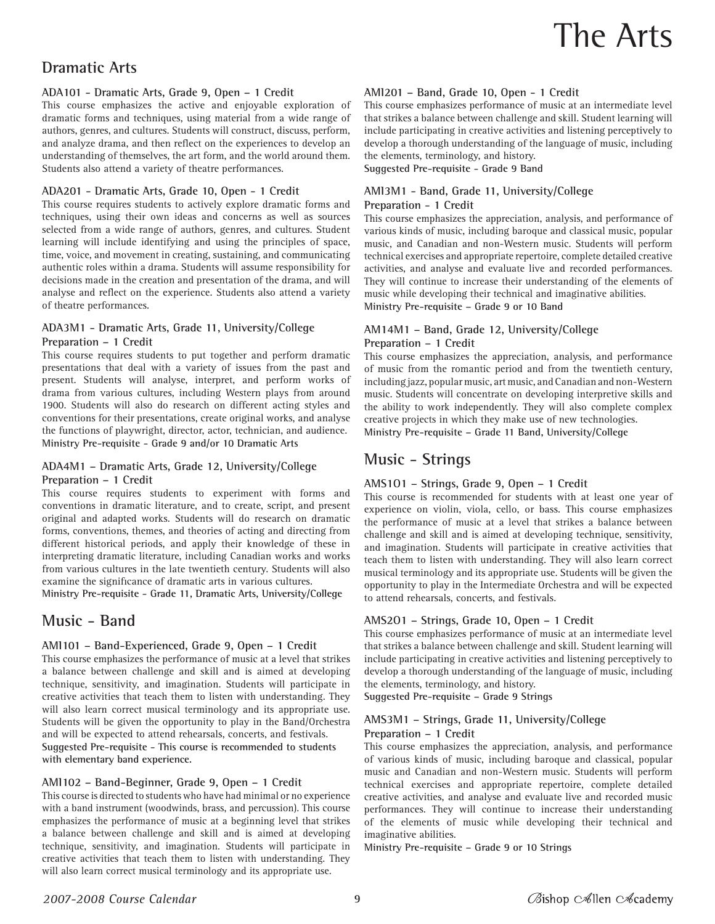# The Arts

# **Dramatic Arts**

#### **ADA101 - Dramatic Arts, Grade 9, Open – 1 Credit**

This course emphasizes the active and enjoyable exploration of dramatic forms and techniques, using material from a wide range of authors, genres, and cultures. Students will construct, discuss, perform, and analyze drama, and then reflect on the experiences to develop an understanding of themselves, the art form, and the world around them. Students also attend a variety of theatre performances.

#### **ADA201 - Dramatic Arts, Grade 10, Open - 1 Credit**

This course requires students to actively explore dramatic forms and techniques, using their own ideas and concerns as well as sources selected from a wide range of authors, genres, and cultures. Student learning will include identifying and using the principles of space, time, voice, and movement in creating, sustaining, and communicating authentic roles within a drama. Students will assume responsibility for decisions made in the creation and presentation of the drama, and will analyse and reflect on the experience. Students also attend a variety of theatre performances.

#### **ADA3M1 - Dramatic Arts, Grade 11, University/College Preparation – 1 Credit**

This course requires students to put together and perform dramatic presentations that deal with a variety of issues from the past and present. Students will analyse, interpret, and perform works of drama from various cultures, including Western plays from around 1900. Students will also do research on different acting styles and conventions for their presentations, create original works, and analyse the functions of playwright, director, actor, technician, and audience. **Ministry Pre-requisite - Grade 9 and/or 10 Dramatic Arts**

#### **ADA4M1 – Dramatic Arts, Grade 12, University/College Preparation – 1 Credit**

This course requires students to experiment with forms and conventions in dramatic literature, and to create, script, and present original and adapted works. Students will do research on dramatic forms, conventions, themes, and theories of acting and directing from different historical periods, and apply their knowledge of these in interpreting dramatic literature, including Canadian works and works from various cultures in the late twentieth century. Students will also examine the significance of dramatic arts in various cultures.

**Ministry Pre-requisite - Grade 11, Dramatic Arts, University/College**

# **Music - Band**

#### **AMI101 – Band-Experienced, Grade 9, Open – 1 Credit**

This course emphasizes the performance of music at a level that strikes a balance between challenge and skill and is aimed at developing technique, sensitivity, and imagination. Students will participate in creative activities that teach them to listen with understanding. They will also learn correct musical terminology and its appropriate use. Students will be given the opportunity to play in the Band/Orchestra and will be expected to attend rehearsals, concerts, and festivals. **Suggested Pre-requisite - This course is recommended to students with elementary band experience.**

#### **AMI102 – Band-Beginner, Grade 9, Open – 1 Credit**

This course is directed to students who have had minimal or no experience with a band instrument (woodwinds, brass, and percussion). This course emphasizes the performance of music at a beginning level that strikes a balance between challenge and skill and is aimed at developing technique, sensitivity, and imagination. Students will participate in creative activities that teach them to listen with understanding. They will also learn correct musical terminology and its appropriate use.

#### **AMI201 – Band, Grade 10, Open - 1 Credit**

This course emphasizes performance of music at an intermediate level that strikes a balance between challenge and skill. Student learning will include participating in creative activities and listening perceptively to develop a thorough understanding of the language of music, including the elements, terminology, and history. **Suggested Pre-requisite - Grade 9 Band**

#### **AMI3M1 - Band, Grade 11, University/College Preparation - 1 Credit**

This course emphasizes the appreciation, analysis, and performance of various kinds of music, including baroque and classical music, popular music, and Canadian and non-Western music. Students will perform technical exercises and appropriate repertoire, complete detailed creative activities, and analyse and evaluate live and recorded performances. They will continue to increase their understanding of the elements of music while developing their technical and imaginative abilities. **Ministry Pre-requisite – Grade 9 or 10 Band**

#### **AM14M1 – Band, Grade 12, University/College Preparation – 1 Credit**

This course emphasizes the appreciation, analysis, and performance of music from the romantic period and from the twentieth century, including jazz, popular music, art music, and Canadian and non-Western music. Students will concentrate on developing interpretive skills and the ability to work independently. They will also complete complex creative projects in which they make use of new technologies. **Ministry Pre-requisite – Grade 11 Band, University/College**

## **Music - Strings**

#### **AMS1O1 – Strings, Grade 9, Open – 1 Credit**

This course is recommended for students with at least one year of experience on violin, viola, cello, or bass. This course emphasizes the performance of music at a level that strikes a balance between challenge and skill and is aimed at developing technique, sensitivity, and imagination. Students will participate in creative activities that teach them to listen with understanding. They will also learn correct musical terminology and its appropriate use. Students will be given the opportunity to play in the Intermediate Orchestra and will be expected to attend rehearsals, concerts, and festivals.

#### **AMS2O1 – Strings, Grade 10, Open – 1 Credit**

This course emphasizes performance of music at an intermediate level that strikes a balance between challenge and skill. Student learning will include participating in creative activities and listening perceptively to develop a thorough understanding of the language of music, including the elements, terminology, and history.

**Suggested Pre-requisite – Grade 9 Strings**

#### **AMS3M1 – Strings, Grade 11, University/College Preparation – 1 Credit**

This course emphasizes the appreciation, analysis, and performance of various kinds of music, including baroque and classical, popular music and Canadian and non-Western music. Students will perform technical exercises and appropriate repertoire, complete detailed creative activities, and analyse and evaluate live and recorded music performances. They will continue to increase their understanding of the elements of music while developing their technical and imaginative abilities.

**Ministry Pre-requisite – Grade 9 or 10 Strings**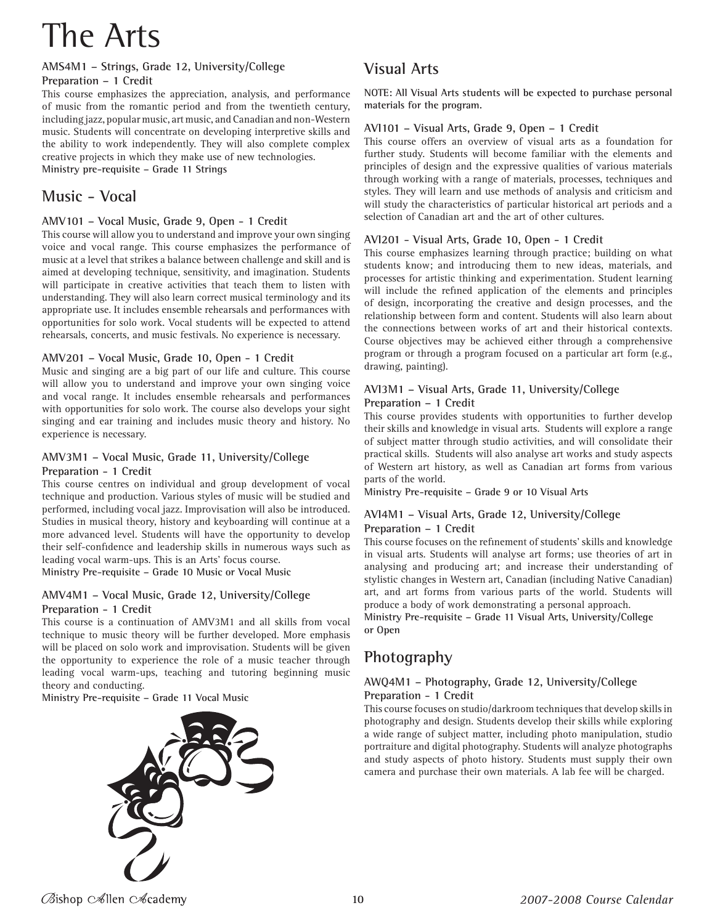# The Arts

# **AMS4M1 – Strings, Grade 12, University/College**

**Preparation – 1 Credit**

This course emphasizes the appreciation, analysis, and performance of music from the romantic period and from the twentieth century, including jazz, popular music, art music, and Canadian and non-Western music. Students will concentrate on developing interpretive skills and the ability to work independently. They will also complete complex creative projects in which they make use of new technologies. **Ministry pre-requisite – Grade 11 Strings**

# **Music - Vocal**

#### **AMV101 – Vocal Music, Grade 9, Open - 1 Credit**

This course will allow you to understand and improve your own singing voice and vocal range. This course emphasizes the performance of music at a level that strikes a balance between challenge and skill and is aimed at developing technique, sensitivity, and imagination. Students will participate in creative activities that teach them to listen with understanding. They will also learn correct musical terminology and its appropriate use. It includes ensemble rehearsals and performances with opportunities for solo work. Vocal students will be expected to attend rehearsals, concerts, and music festivals. No experience is necessary.

#### **AMV201 – Vocal Music, Grade 10, Open - 1 Credit**

Music and singing are a big part of our life and culture. This course will allow you to understand and improve your own singing voice and vocal range. It includes ensemble rehearsals and performances with opportunities for solo work. The course also develops your sight singing and ear training and includes music theory and history. No experience is necessary.

#### **AMV3M1 – Vocal Music, Grade 11, University/College Preparation - 1 Credit**

This course centres on individual and group development of vocal technique and production. Various styles of music will be studied and performed, including vocal jazz. Improvisation will also be introduced. Studies in musical theory, history and keyboarding will continue at a more advanced level. Students will have the opportunity to develop their self-confidence and leadership skills in numerous ways such as leading vocal warm-ups. This is an Arts' focus course.

**Ministry Pre-requisite – Grade 10 Music or Vocal Music**

#### **AMV4M1 – Vocal Music, Grade 12, University/College Preparation - 1 Credit**

This course is a continuation of AMV3M1 and all skills from vocal technique to music theory will be further developed. More emphasis will be placed on solo work and improvisation. Students will be given the opportunity to experience the role of a music teacher through leading vocal warm-ups, teaching and tutoring beginning music theory and conducting.

**Ministry Pre-requisite – Grade 11 Vocal Music**



# **Visual Arts**

**NOTE: All Visual Arts students will be expected to purchase personal materials for the program.**

#### **AVI101 – Visual Arts, Grade 9, Open – 1 Credit**

This course offers an overview of visual arts as a foundation for further study. Students will become familiar with the elements and principles of design and the expressive qualities of various materials through working with a range of materials, processes, techniques and styles. They will learn and use methods of analysis and criticism and will study the characteristics of particular historical art periods and a selection of Canadian art and the art of other cultures.

#### **AVI201 - Visual Arts, Grade 10, Open - 1 Credit**

This course emphasizes learning through practice; building on what students know; and introducing them to new ideas, materials, and processes for artistic thinking and experimentation. Student learning will include the refined application of the elements and principles of design, incorporating the creative and design processes, and the relationship between form and content. Students will also learn about the connections between works of art and their historical contexts. Course objectives may be achieved either through a comprehensive program or through a program focused on a particular art form (e.g., drawing, painting).

#### **AVI3M1 – Visual Arts, Grade 11, University/College Preparation – 1 Credit**

This course provides students with opportunities to further develop their skills and knowledge in visual arts. Students will explore a range of subject matter through studio activities, and will consolidate their practical skills. Students will also analyse art works and study aspects of Western art history, as well as Canadian art forms from various parts of the world.

**Ministry Pre-requisite – Grade 9 or 10 Visual Arts**

#### **AVI4M1 – Visual Arts, Grade 12, University/College Preparation – 1 Credit**

This course focuses on the refinement of students' skills and knowledge in visual arts. Students will analyse art forms; use theories of art in analysing and producing art; and increase their understanding of stylistic changes in Western art, Canadian (including Native Canadian) art, and art forms from various parts of the world. Students will produce a body of work demonstrating a personal approach.

**Ministry Pre-requisite – Grade 11 Visual Arts, University/College or Open**

# **Photography**

#### **AWQ4M1 – Photography, Grade 12, University/College Preparation - 1 Credit**

This course focuses on studio/darkroom techniques that develop skills in photography and design. Students develop their skills while exploring a wide range of subject matter, including photo manipulation, studio portraiture and digital photography. Students will analyze photographs and study aspects of photo history. Students must supply their own camera and purchase their own materials. A lab fee will be charged.

Øishop c∕∕illen c∕⁄cademy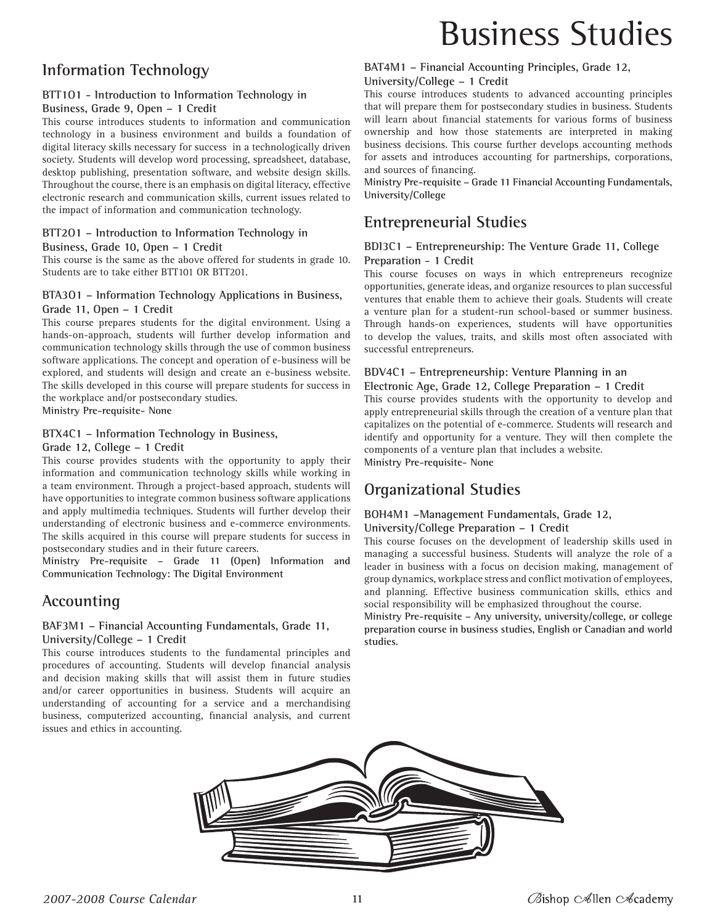# **Information Technology**

#### **BTT1O1 - Introduction to Information Technology in**

#### **Business, Grade 9, Open – 1 Credit**

This course introduces students to information and communication technology in a business environment and builds a foundation of digital literacy skills necessary for success in a technologically driven society. Students will develop word processing, spreadsheet, database, desktop publishing, presentation software, and website design skills. Throughout the course, there is an emphasis on digital literacy, effective electronic research and communication skills, current issues related to the impact of information and communication technology.

## **BTT2O1 – Introduction to Information Technology in**

#### **Business, Grade 10, Open – 1 Credit**

This course is the same as the above offered for students in grade 10. Students are to take either BTT101 OR BTT201.

#### **BTA3O1 – Information Technology Applications in Business, Grade 11, Open – 1 Credit**

This course prepares students for the digital environment. Using a hands-on-approach, students will further develop information and communication technology skills through the use of common business software applications. The concept and operation of e-business will be explored, and students will design and create an e-business website. The skills developed in this course will prepare students for success in the workplace and/or postsecondary studies.

**Ministry Pre-requisite- None** 

#### **BTX4C1 – Information Technology in Business,**

#### **Grade 12, College – 1 Credit**

This course provides students with the opportunity to apply their information and communication technology skills while working in a team environment. Through a project-based approach, students will have opportunities to integrate common business software applications and apply multimedia techniques. Students will further develop their understanding of electronic business and e-commerce environments. The skills acquired in this course will prepare students for success in postsecondary studies and in their future careers.

**Ministry Pre-requisite – Grade 11 (Open) Information and Communication Technology: The Digital Environment**

#### **Accounting**

#### **BAF3M1 – Financial Accounting Fundamentals, Grade 11, University/College – 1 Credit**

This course introduces students to the fundamental principles and procedures of accounting. Students will develop financial analysis and decision making skills that will assist them in future studies and/or career opportunities in business. Students will acquire an understanding of accounting for a service and a merchandising business, computerized accounting, financial analysis, and current issues and ethics in accounting.

# Business Studies

# **BAT4M1 – Financial Accounting Principles, Grade 12,**

#### **University/College – 1 Credit**

This course introduces students to advanced accounting principles that will prepare them for postsecondary studies in business. Students will learn about financial statements for various forms of business ownership and how those statements are interpreted in making business decisions. This course further develops accounting methods for assets and introduces accounting for partnerships, corporations, and sources of financing.

**Ministry Pre-requisite – Grade 11 Financial Accounting Fundamentals, University/College**

## **Entrepreneurial Studies**

#### **BDI3C1 – Entrepreneurship: The Venture Grade 11, College Preparation - 1 Credit**

This course focuses on ways in which entrepreneurs recognize opportunities, generate ideas, and organize resources to plan successful ventures that enable them to achieve their goals. Students will create a venture plan for a student-run school-based or summer business. Through hands-on experiences, students will have opportunities to develop the values, traits, and skills most often associated with successful entrepreneurs.

#### **BDV4C1 – Entrepreneurship: Venture Planning in an**

#### **Electronic Age, Grade 12, College Preparation – 1 Credit**

This course provides students with the opportunity to develop and apply entrepreneurial skills through the creation of a venture plan that capitalizes on the potential of e-commerce. Students will research and identify and opportunity for a venture. They will then complete the components of a venture plan that includes a website. **Ministry Pre-requisite- None**

# **Organizational Studies**

#### **BOH4M1 –Management Fundamentals, Grade 12,**

#### **University/College Preparation – 1 Credit**

This course focuses on the development of leadership skills used in managing a successful business. Students will analyze the role of a leader in business with a focus on decision making, management of group dynamics, workplace stress and conflict motivation of employees, and planning. Effective business communication skills, ethics and social responsibility will be emphasized throughout the course.

**Ministry Pre-requisite – Any university, university/college, or college preparation course in business studies, English or Canadian and world studies.**

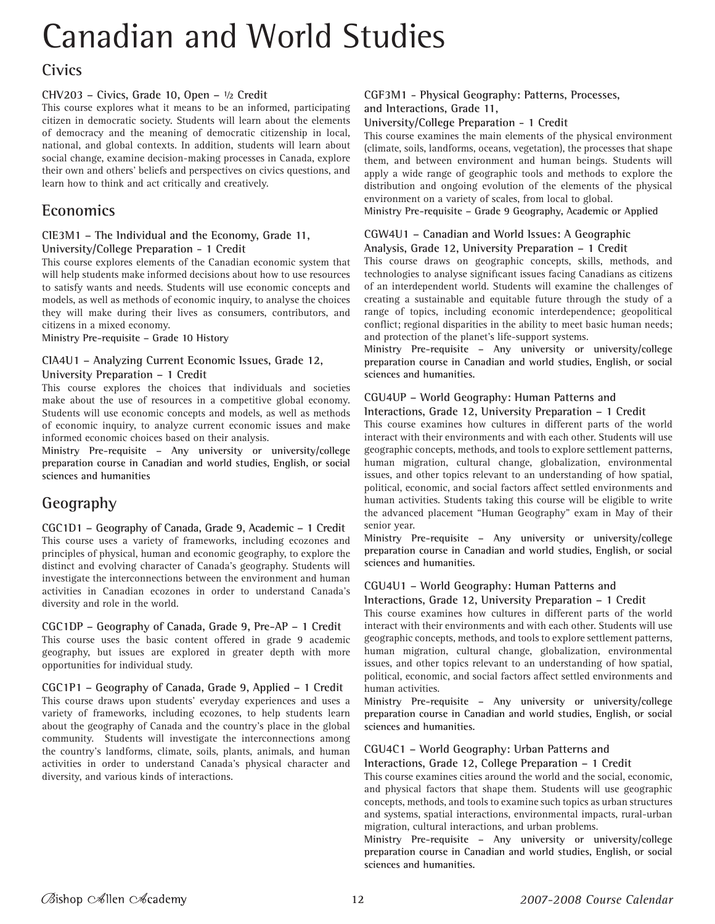# Canadian and World Studies

# **Civics**

#### **CHV203 – Civics, Grade 10, Open – ½ Credit**

This course explores what it means to be an informed, participating citizen in democratic society. Students will learn about the elements of democracy and the meaning of democratic citizenship in local, national, and global contexts. In addition, students will learn about social change, examine decision-making processes in Canada, explore their own and others' beliefs and perspectives on civics questions, and learn how to think and act critically and creatively.

# **Economics**

#### **CIE3M1 – The Individual and the Economy, Grade 11, University/College Preparation - 1 Credit**

This course explores elements of the Canadian economic system that will help students make informed decisions about how to use resources to satisfy wants and needs. Students will use economic concepts and models, as well as methods of economic inquiry, to analyse the choices they will make during their lives as consumers, contributors, and citizens in a mixed economy.

**Ministry Pre-requisite – Grade 10 History**

#### **CIA4U1 – Analyzing Current Economic Issues, Grade 12, University Preparation – 1 Credit**

This course explores the choices that individuals and societies make about the use of resources in a competitive global economy. Students will use economic concepts and models, as well as methods of economic inquiry, to analyze current economic issues and make informed economic choices based on their analysis.

**Ministry Pre-requisite – Any university or university/college preparation course in Canadian and world studies, English, or social sciences and humanities**

# **Geography**

**CGC1D1 – Geography of Canada, Grade 9, Academic – 1 Credit** This course uses a variety of frameworks, including ecozones and principles of physical, human and economic geography, to explore the distinct and evolving character of Canada's geography. Students will investigate the interconnections between the environment and human activities in Canadian ecozones in order to understand Canada's diversity and role in the world.

**CGC1DP – Geography of Canada, Grade 9, Pre-AP – 1 Credit** This course uses the basic content offered in grade 9 academic geography, but issues are explored in greater depth with more opportunities for individual study.

**CGC1P1 – Geography of Canada, Grade 9, Applied – 1 Credit** This course draws upon students' everyday experiences and uses a variety of frameworks, including ecozones, to help students learn about the geography of Canada and the country's place in the global community. Students will investigate the interconnections among the country's landforms, climate, soils, plants, animals, and human activities in order to understand Canada's physical character and diversity, and various kinds of interactions.

#### **CGF3M1 - Physical Geography: Patterns, Processes, and Interactions, Grade 11,**

#### **University/College Preparation - 1 Credit**

This course examines the main elements of the physical environment (climate, soils, landforms, oceans, vegetation), the processes that shape them, and between environment and human beings. Students will apply a wide range of geographic tools and methods to explore the distribution and ongoing evolution of the elements of the physical environment on a variety of scales, from local to global.

**Ministry Pre-requisite – Grade 9 Geography, Academic or Applied**

#### **CGW4U1 – Canadian and World Issues: A Geographic Analysis, Grade 12, University Preparation – 1 Credit**

This course draws on geographic concepts, skills, methods, and technologies to analyse significant issues facing Canadians as citizens of an interdependent world. Students will examine the challenges of creating a sustainable and equitable future through the study of a range of topics, including economic interdependence; geopolitical conflict; regional disparities in the ability to meet basic human needs; and protection of the planet's life-support systems.

**Ministry Pre-requisite – Any university or university/college preparation course in Canadian and world studies, English, or social sciences and humanities.**

#### **CGU4UP – World Geography: Human Patterns and**

#### **Interactions, Grade 12, University Preparation – 1 Credit**

This course examines how cultures in different parts of the world interact with their environments and with each other. Students will use geographic concepts, methods, and tools to explore settlement patterns, human migration, cultural change, globalization, environmental issues, and other topics relevant to an understanding of how spatial, political, economic, and social factors affect settled environments and human activities. Students taking this course will be eligible to write the advanced placement "Human Geography" exam in May of their senior year.

**Ministry Pre-requisite – Any university or university/college preparation course in Canadian and world studies, English, or social sciences and humanities.**

# **CGU4U1 – World Geography: Human Patterns and**

**Interactions, Grade 12, University Preparation – 1 Credit** This course examines how cultures in different parts of the world interact with their environments and with each other. Students will use geographic concepts, methods, and tools to explore settlement patterns, human migration, cultural change, globalization, environmental issues, and other topics relevant to an understanding of how spatial, political, economic, and social factors affect settled environments and human activities.

**Ministry Pre-requisite – Any university or university/college preparation course in Canadian and world studies, English, or social sciences and humanities.**

#### **CGU4C1 – World Geography: Urban Patterns and**

**Interactions, Grade 12, College Preparation – 1 Credit**

This course examines cities around the world and the social, economic, and physical factors that shape them. Students will use geographic concepts, methods, and tools to examine such topics as urban structures and systems, spatial interactions, environmental impacts, rural-urban migration, cultural interactions, and urban problems.

**Ministry Pre-requisite – Any university or university/college preparation course in Canadian and world studies, English, or social sciences and humanities.**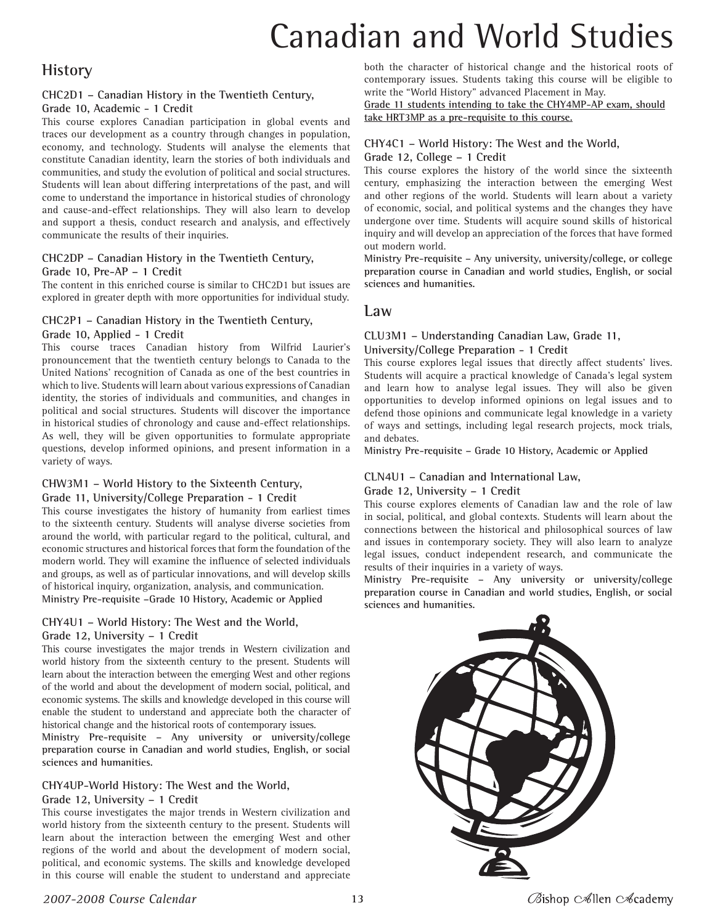# Canadian and World Studies

# **History**

## **CHC2D1 – Canadian History in the Twentieth Century,**

#### **Grade 10, Academic - 1 Credit**

This course explores Canadian participation in global events and traces our development as a country through changes in population, economy, and technology. Students will analyse the elements that constitute Canadian identity, learn the stories of both individuals and communities, and study the evolution of political and social structures. Students will lean about differing interpretations of the past, and will come to understand the importance in historical studies of chronology and cause-and-effect relationships. They will also learn to develop and support a thesis, conduct research and analysis, and effectively communicate the results of their inquiries.

#### **CHC2DP – Canadian History in the Twentieth Century, Grade 10, Pre-AP – 1 Credit**

The content in this enriched course is similar to CHC2D1 but issues are explored in greater depth with more opportunities for individual study.

#### **CHC2P1 – Canadian History in the Twentieth Century,**

#### **Grade 10, Applied - 1 Credit**

This course traces Canadian history from Wilfrid Laurier's pronouncement that the twentieth century belongs to Canada to the United Nations' recognition of Canada as one of the best countries in which to live. Students will learn about various expressions of Canadian identity, the stories of individuals and communities, and changes in political and social structures. Students will discover the importance in historical studies of chronology and cause and-effect relationships. As well, they will be given opportunities to formulate appropriate questions, develop informed opinions, and present information in a variety of ways.

#### **CHW3M1 – World History to the Sixteenth Century, Grade 11, University/College Preparation - 1 Credit**

This course investigates the history of humanity from earliest times to the sixteenth century. Students will analyse diverse societies from around the world, with particular regard to the political, cultural, and economic structures and historical forces that form the foundation of the modern world. They will examine the influence of selected individuals and groups, as well as of particular innovations, and will develop skills of historical inquiry, organization, analysis, and communication. **Ministry Pre-requisite –Grade 10 History, Academic or Applied**

#### **CHY4U1 – World History: The West and the World,**

#### **Grade 12, University – 1 Credit**

This course investigates the major trends in Western civilization and world history from the sixteenth century to the present. Students will learn about the interaction between the emerging West and other regions of the world and about the development of modern social, political, and economic systems. The skills and knowledge developed in this course will enable the student to understand and appreciate both the character of historical change and the historical roots of contemporary issues.

**Ministry Pre-requisite – Any university or university/college preparation course in Canadian and world studies, English, or social sciences and humanities.**

#### **CHY4UP-World History: The West and the World,**

#### **Grade 12, University – 1 Credit**

This course investigates the major trends in Western civilization and world history from the sixteenth century to the present. Students will learn about the interaction between the emerging West and other regions of the world and about the development of modern social, political, and economic systems. The skills and knowledge developed in this course will enable the student to understand and appreciate

both the character of historical change and the historical roots of contemporary issues. Students taking this course will be eligible to write the "World History" advanced Placement in May.

**Grade 11 students intending to take the CHY4MP-AP exam, should take HRT3MP as a pre-requisite to this course.**

#### **CHY4C1 – World History: The West and the World, Grade 12, College – 1 Credit**

This course explores the history of the world since the sixteenth century, emphasizing the interaction between the emerging West and other regions of the world. Students will learn about a variety of economic, social, and political systems and the changes they have undergone over time. Students will acquire sound skills of historical inquiry and will develop an appreciation of the forces that have formed out modern world.

**Ministry Pre-requisite – Any university, university/college, or college preparation course in Canadian and world studies, English, or social sciences and humanities.**

#### **Law**

#### **CLU3M1 – Understanding Canadian Law, Grade 11, University/College Preparation - 1 Credit**

This course explores legal issues that directly affect students' lives. Students will acquire a practical knowledge of Canada's legal system and learn how to analyse legal issues. They will also be given opportunities to develop informed opinions on legal issues and to defend those opinions and communicate legal knowledge in a variety of ways and settings, including legal research projects, mock trials, and debates.

**Ministry Pre-requisite – Grade 10 History, Academic or Applied**

#### **CLN4U1 – Canadian and International Law,**

#### **Grade 12, University – 1 Credit**

This course explores elements of Canadian law and the role of law in social, political, and global contexts. Students will learn about the connections between the historical and philosophical sources of law and issues in contemporary society. They will also learn to analyze legal issues, conduct independent research, and communicate the results of their inquiries in a variety of ways.

**Ministry Pre-requisite – Any university or university/college preparation course in Canadian and world studies, English, or social sciences and humanities.**

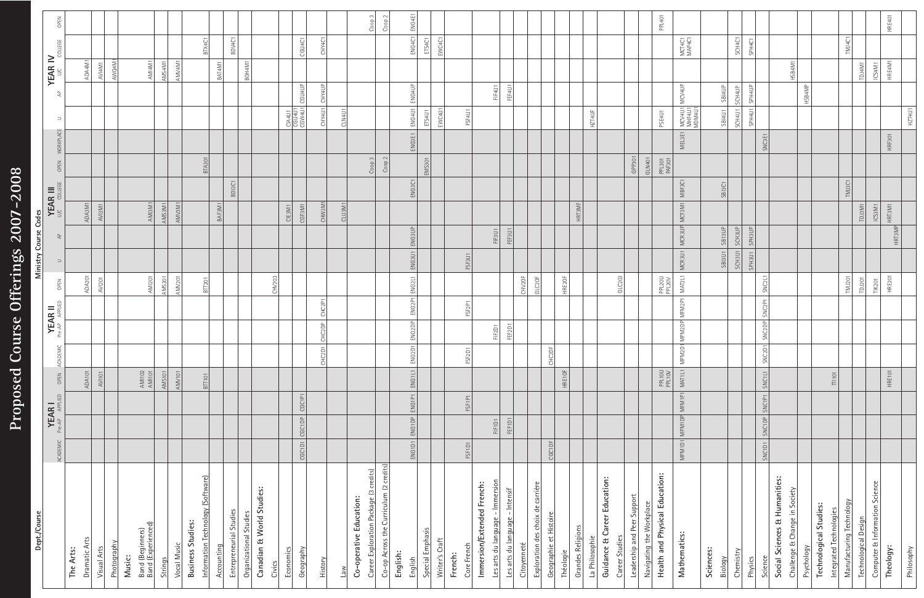# Proposed Course Offerings 2007-2008 **Proposed Course Offerings 200-2008**

| Dept./Course                                            |                                         |         |                    |                                 |                                 |                    |                         | Ministry Course Codes |                         |                                |        |                         |                            |                            |                  |                  |                   |
|---------------------------------------------------------|-----------------------------------------|---------|--------------------|---------------------------------|---------------------------------|--------------------|-------------------------|-----------------------|-------------------------|--------------------------------|--------|-------------------------|----------------------------|----------------------------|------------------|------------------|-------------------|
|                                                         | <b>YEAR I</b><br><b>Pre</b><br>ACADEMIC | APPLIED | OPEN               | ACADEMIC                        |                                 | <b>YEAR II</b>     | OPEN                    | $\Rightarrow$         | 욷                       | <b>YEAR III</b><br>U/C COLLEGE |        | OPEN                    | $\supset$<br>WORKPLACE     | ੇ<br>ਵ                     | <b>YEAR IV</b>   | COLLEGE          | OPEN              |
| The Arts:                                               |                                         |         |                    |                                 |                                 |                    |                         |                       |                         |                                |        |                         |                            |                            |                  |                  |                   |
| Dramatic Arts<br>Visual Arts                            |                                         |         | ADA101<br>AVI101   |                                 |                                 |                    | ADA201<br><b>AVI201</b> |                       |                         | ADA3M1<br>AVI3M1               |        |                         |                            |                            | ADA4M1<br>AVI4M1 |                  |                   |
| Photography                                             |                                         |         |                    |                                 |                                 |                    |                         |                       |                         |                                |        |                         |                            |                            | AWQ4M1           |                  |                   |
| Band (Beginners)<br>Band (Experienced)<br>Music:        |                                         |         | AMI 102<br>AMI 101 |                                 |                                 |                    | <b>AMI201</b>           |                       |                         | AMI3M1                         |        |                         |                            |                            | AMI4M1           |                  |                   |
| <b>Strings</b>                                          |                                         |         | <b>AMS101</b>      |                                 |                                 |                    | <b>AMS201</b>           |                       |                         | AMS3M1                         |        |                         |                            |                            | AMS4M1           |                  |                   |
| Vocal Music                                             |                                         |         | AMV101             |                                 |                                 |                    | AMV201                  |                       |                         | AMV3M1                         |        |                         |                            |                            | AMV4M1           |                  |                   |
| <b>Business Studies:</b>                                |                                         |         |                    |                                 |                                 |                    |                         |                       |                         |                                |        |                         |                            |                            |                  |                  |                   |
| Information Technology (Software)                       |                                         |         | BTT101             |                                 |                                 |                    | <b>BTT201</b>           |                       |                         |                                |        | BTA301                  |                            |                            |                  | BTX4C1           |                   |
| Entrepreneurial Studies<br>Accounting                   |                                         |         |                    |                                 |                                 |                    |                         |                       |                         | BAF3M1                         | BDI3C1 |                         |                            |                            | BAT4M1           | BDV4C1           |                   |
| Organizational Studies                                  |                                         |         |                    |                                 |                                 |                    |                         |                       |                         |                                |        |                         |                            |                            | BOH4M1           |                  |                   |
| Canadian & World Studies:                               |                                         |         |                    |                                 |                                 |                    |                         |                       |                         |                                |        |                         |                            |                            |                  |                  |                   |
| Civics                                                  |                                         |         |                    |                                 |                                 |                    | CHV203                  |                       |                         |                                |        |                         |                            |                            |                  |                  |                   |
| Economics                                               |                                         |         |                    |                                 |                                 |                    |                         |                       |                         | CIE3M1                         |        |                         | CIA4U1<br>CGU4U1<br>CGW4U1 |                            |                  |                  |                   |
| Geography                                               | CGC1DP<br>CGC1D1                        | CGC1P1  |                    |                                 |                                 |                    |                         |                       |                         | CGF3M1                         |        |                         |                            | CGU <sub>4UP</sub>         |                  | CGU4C1           |                   |
| History                                                 |                                         |         |                    | CHC2D1                          | CHC2DP                          | CHC2P1             |                         |                       |                         | CHW3M1                         |        |                         |                            | CHY4UP<br>CHY4U1           |                  | CHY4C1           |                   |
| $\overline{\text{New}}$                                 |                                         |         |                    |                                 |                                 |                    |                         |                       |                         | CLU3M1                         |        |                         | CLN4U1                     |                            |                  |                  |                   |
| Co-operative Education:                                 |                                         |         |                    |                                 |                                 |                    |                         |                       |                         |                                |        |                         |                            |                            |                  |                  |                   |
| Career Exploration Package (3 credits)                  |                                         |         |                    |                                 |                                 |                    |                         |                       |                         |                                |        | Coop <sub>3</sub>       |                            |                            |                  |                  | Cop <sub>1</sub>  |
| Co-op Across the Curriculum (2 credits)<br>English:     |                                         |         |                    |                                 |                                 |                    |                         |                       |                         |                                |        | Coop 2                  |                            |                            |                  |                  | Coop <sub>2</sub> |
| English                                                 | ENG1DP ENG1P1<br>ENG1D1                 |         | ENG1L1             | ENG2D1                          | ENG <sub>2DP</sub>              | ENG2P1             | ENG <sub>2L1</sub>      | ENG3U1                | ENG3UP                  |                                | ENG3C1 |                         | ENG3E1                     | ENG4UP<br>ENG4U1           |                  | ENG4C1           | ENG4E1            |
| Special Emphasis                                        |                                         |         |                    |                                 |                                 |                    |                         |                       |                         |                                |        | <b>EMS301</b>           | ETS4U1                     |                            |                  | ETS4C1           |                   |
| Writer's Craft                                          |                                         |         |                    |                                 |                                 |                    |                         |                       |                         |                                |        |                         | EWC4U1                     |                            |                  | EWC4C1           |                   |
| French:                                                 |                                         |         |                    |                                 |                                 |                    |                         |                       |                         |                                |        |                         |                            |                            |                  |                  |                   |
| Core French                                             | FSF1D1                                  | FSF1P1  |                    | FSF <sub>2</sub> D <sub>1</sub> |                                 | FSF2P1             |                         | FSF3U1                |                         |                                |        |                         |                            | FSF4U1                     |                  |                  |                   |
| Immersion/Extended French:                              |                                         |         |                    |                                 |                                 |                    |                         |                       |                         |                                |        |                         |                            |                            |                  |                  |                   |
| Les arts du language - Immersion                        | FIF1D1                                  |         |                    |                                 | FIF <sub>2</sub> D <sub>1</sub> |                    |                         |                       | FIF3U1                  |                                |        |                         |                            | FIF4U1                     |                  |                  |                   |
| Les arts du language - Intensif<br>Citoyenneté          | FEF1D1                                  |         |                    |                                 | FEF2D1                          |                    | CHV2OF                  |                       | FEF3U1                  |                                |        |                         |                            | FEF4U1                     |                  |                  |                   |
| carrière<br>Exploration des choix de                    |                                         |         |                    |                                 |                                 |                    | GLC2OF                  |                       |                         |                                |        |                         |                            |                            |                  |                  |                   |
| Geographie et Histoire                                  | CGC1DF                                  |         |                    | CHC2DF                          |                                 |                    |                         |                       |                         |                                |        |                         |                            |                            |                  |                  |                   |
| Théologie                                               |                                         |         | HRE1OF             |                                 |                                 |                    | HRE2OF                  |                       |                         |                                |        |                         |                            |                            |                  |                  |                   |
| <b>Grandes Religions</b>                                |                                         |         |                    |                                 |                                 |                    |                         |                       |                         | HRT3MF                         |        |                         |                            |                            |                  |                  |                   |
| La Philosophie                                          |                                         |         |                    |                                 |                                 |                    |                         |                       |                         |                                |        |                         | HZT4UF                     |                            |                  |                  |                   |
| Guidance & Career Education:                            |                                         |         |                    |                                 |                                 |                    |                         |                       |                         |                                |        |                         |                            |                            |                  |                  |                   |
| Career Studies                                          |                                         |         |                    |                                 |                                 |                    | GLC203                  |                       |                         |                                |        |                         |                            |                            |                  |                  |                   |
| Leadership and Peer Support<br>Navigating the Workplace |                                         |         |                    |                                 |                                 |                    |                         |                       |                         |                                |        | GPP301<br><b>GLN401</b> |                            |                            |                  |                  |                   |
| Health and Physical Education:                          |                                         |         | PPL10U<br>PPL10V   |                                 |                                 |                    | PPL20U<br>PPL20V        |                       |                         |                                |        | PPL301<br>PAF301        | PSE4U1                     |                            |                  |                  | PPL401            |
| Mathematics:                                            | MPM1DP<br>MPM1D1                        | MFM1P1  | MAT1L1             | MPM2D1                          | MPM2DP                          | MFM2P1             | MAT2L1                  | MCR3U1                | MCR3UP                  | MCF3M1                         | MBF3C1 |                         | MEL3E1                     | MCV4UP                     |                  | MCT4C1<br>MAP4C1 |                   |
|                                                         |                                         |         |                    |                                 |                                 |                    |                         |                       |                         |                                |        |                         |                            | MCV4U1<br>MHF4U1<br>MDM4U1 |                  |                  |                   |
| Sciences:                                               |                                         |         |                    |                                 |                                 |                    |                         |                       |                         |                                |        |                         |                            |                            |                  |                  |                   |
| Chemistry<br>Biology                                    |                                         |         |                    |                                 |                                 |                    |                         | SCH3U1<br>SBI3U1      | <b>SCH3UP</b><br>SB13UP |                                | SBI3C1 |                         | SCH4U1<br><b>SBI4U1</b>    | SBI4UP<br>SCH4UP           |                  | SCH4C1           |                   |
|                                                         |                                         |         |                    |                                 |                                 |                    |                         |                       |                         |                                |        |                         |                            |                            |                  |                  |                   |
| Science<br>Physics                                      | SNC1DP SNC1P1<br>SNC1D1                 |         | SNC1L1             | SNC2D1                          | SNC <sub>2DP</sub>              | SNC <sub>2P1</sub> | SNC2L1                  | SPH3U1                | SPH3UP                  |                                |        |                         | SNC3E1                     | SPH4UP<br>SPH4U1           |                  | SPH4C1           |                   |
| Social Sciences & Humanities:                           |                                         |         |                    |                                 |                                 |                    |                         |                       |                         |                                |        |                         |                            |                            |                  |                  |                   |
| Challenge & Change in Society                           |                                         |         |                    |                                 |                                 |                    |                         |                       |                         |                                |        |                         |                            |                            | HSB4M1           |                  |                   |
| Psychology                                              |                                         |         |                    |                                 |                                 |                    |                         |                       |                         |                                |        |                         |                            | HSB4MP                     |                  |                  |                   |
| <b>Technological Studies:</b>                           |                                         |         |                    |                                 |                                 |                    |                         |                       |                         |                                |        |                         |                            |                            |                  |                  |                   |
| Integrated Technologie                                  |                                         |         | $\frac{1}{2}$      |                                 |                                 |                    | <b>TMJ201</b>           |                       |                         |                                |        |                         |                            |                            |                  | TMJ4C1           |                   |
| Manufacturing Technology<br>Technological Design        |                                         |         |                    |                                 |                                 |                    | TDJ201                  |                       |                         | TDJ3M1                         | TMJ3C1 |                         |                            |                            | TDJ4M1           |                  |                   |
| Computer & Information Science                          |                                         |         |                    |                                 |                                 |                    | <b>TIK201</b>           |                       |                         | ICS3M1                         |        |                         |                            |                            | ICS4M1           |                  |                   |
| Theology:                                               |                                         |         | HRE101             |                                 |                                 |                    | <b>HRE201</b>           |                       |                         | HRT3M1                         |        |                         | HRF301                     |                            | HRE4M1           |                  | HRE401            |
|                                                         |                                         |         |                    |                                 |                                 |                    |                         |                       | HRT3MP                  |                                |        |                         |                            |                            |                  |                  |                   |
| Philosophy                                              |                                         |         |                    |                                 |                                 |                    |                         |                       |                         |                                |        |                         |                            | HZT4U1                     |                  |                  |                   |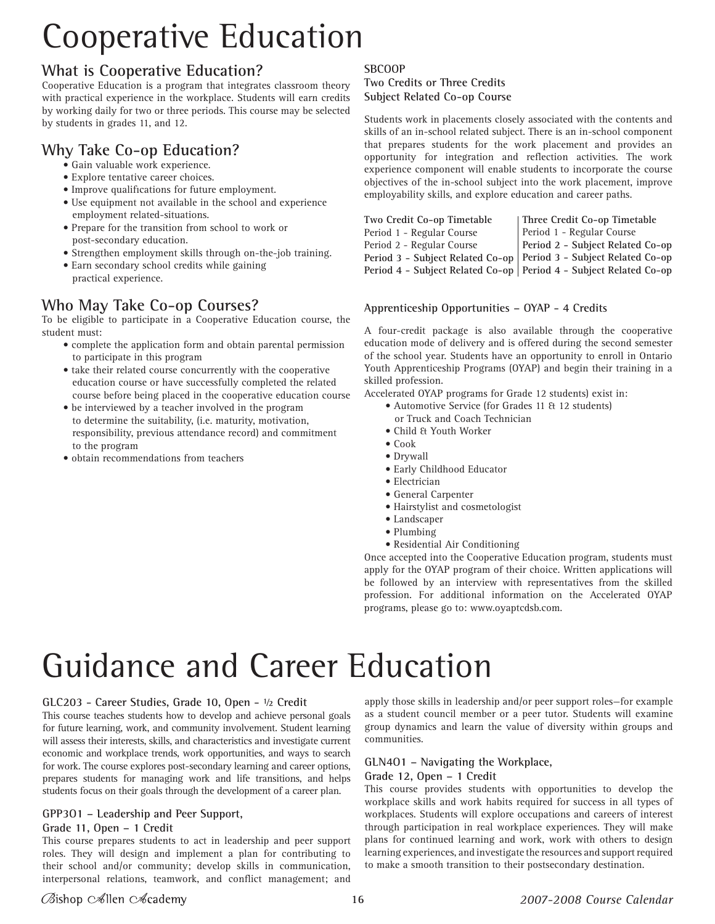# Cooperative Education

## **What is Cooperative Education?**

Cooperative Education is a program that integrates classroom theory with practical experience in the workplace. Students will earn credits by working daily for two or three periods. This course may be selected by students in grades 11, and 12.

# **Why Take Co-op Education?**

- Gain valuable work experience.
- Explore tentative career choices.
- Improve qualifications for future employment.
- Use equipment not available in the school and experience employment related-situations.
- Prepare for the transition from school to work or post-secondary education.
- Strengthen employment skills through on-the-job training.
- Earn secondary school credits while gaining practical experience.

# **Who May Take Co-op Courses?**

To be eligible to participate in a Cooperative Education course, the student must:

- complete the application form and obtain parental permission to participate in this program
- take their related course concurrently with the cooperative education course or have successfully completed the related course before being placed in the cooperative education course
- be interviewed by a teacher involved in the program to determine the suitability, (i.e. maturity, motivation, responsibility, previous attendance record) and commitment to the program
- obtain recommendations from teachers

#### **SBCOOP**

**Two Credits or Three Credits Subject Related Co-op Course**

Students work in placements closely associated with the contents and skills of an in-school related subject. There is an in-school component that prepares students for the work placement and provides an opportunity for integration and reflection activities. The work experience component will enable students to incorporate the course objectives of the in-school subject into the work placement, improve employability skills, and explore education and career paths.

| Two Credit Co-op Timetable | Three Credit Co-op Timetable                                        |
|----------------------------|---------------------------------------------------------------------|
| Period 1 - Regular Course  | Period 1 - Regular Course                                           |
| Period 2 - Regular Course  | Period 2 - Subject Related Co-op                                    |
|                            | Period 3 - Subject Related Co-op   Period 3 - Subject Related Co-op |
|                            | Period 4 - Subject Related Co-op   Period 4 - Subject Related Co-op |

#### **Apprenticeship Opportunities – OYAP - 4 Credits**

A four-credit package is also available through the cooperative education mode of delivery and is offered during the second semester of the school year. Students have an opportunity to enroll in Ontario Youth Apprenticeship Programs (OYAP) and begin their training in a skilled profession.

Accelerated OYAP programs for Grade 12 students) exist in:

- Automotive Service (for Grades 11 & 12 students) or Truck and Coach Technician
- Child & Youth Worker
- Cook
- Drywall
- Early Childhood Educator
- Electrician
- General Carpenter
- Hairstylist and cosmetologist
- Landscaper
- Plumbing
- Residential Air Conditioning

Once accepted into the Cooperative Education program, students must apply for the OYAP program of their choice. Written applications will be followed by an interview with representatives from the skilled profession. For additional information on the Accelerated OYAP programs, please go to: www.oyaptcdsb.com.

# Guidance and Career Education

#### **GLC203 - Career Studies, Grade 10, Open - ½ Credit**

This course teaches students how to develop and achieve personal goals for future learning, work, and community involvement. Student learning will assess their interests, skills, and characteristics and investigate current economic and workplace trends, work opportunities, and ways to search for work. The course explores post-secondary learning and career options, prepares students for managing work and life transitions, and helps students focus on their goals through the development of a career plan.

#### **GPP3O1 – Leadership and Peer Support,**

#### **Grade 11, Open – 1 Credit**

This course prepares students to act in leadership and peer support roles. They will design and implement a plan for contributing to their school and/or community; develop skills in communication, interpersonal relations, teamwork, and conflict management; and apply those skills in leadership and/or peer support roles—for example as a student council member or a peer tutor. Students will examine group dynamics and learn the value of diversity within groups and communities.

#### **GLN4O1 – Navigating the Workplace, Grade 12, Open – 1 Credit**

This course provides students with opportunities to develop the workplace skills and work habits required for success in all types of workplaces. Students will explore occupations and careers of interest through participation in real workplace experiences. They will make plans for continued learning and work, work with others to design learning experiences, and investigate the resources and support required to make a smooth transition to their postsecondary destination.

## $\emptyset$ ishop  $\infty$ llen  $\infty$ cademy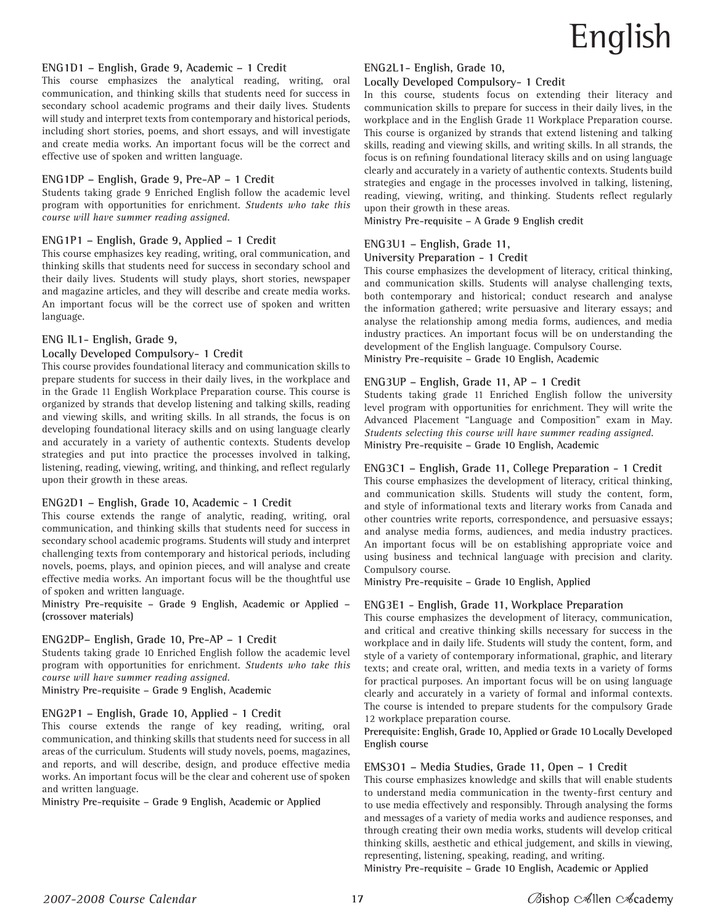#### **ENG1D1 – English, Grade 9, Academic – 1 Credit**

This course emphasizes the analytical reading, writing, oral communication, and thinking skills that students need for success in secondary school academic programs and their daily lives. Students will study and interpret texts from contemporary and historical periods, including short stories, poems, and short essays, and will investigate and create media works. An important focus will be the correct and effective use of spoken and written language.

#### **ENG1DP – English, Grade 9, Pre-AP – 1 Credit**

Students taking grade 9 Enriched English follow the academic level program with opportunities for enrichment. *Students who take this course will have summer reading assigned.*

#### **ENG1P1 – English, Grade 9, Applied – 1 Credit**

This course emphasizes key reading, writing, oral communication, and thinking skills that students need for success in secondary school and their daily lives. Students will study plays, short stories, newspaper and magazine articles, and they will describe and create media works. An important focus will be the correct use of spoken and written language.

#### **ENG IL1- English, Grade 9,**

#### **Locally Developed Compulsory- 1 Credit**

This course provides foundational literacy and communication skills to prepare students for success in their daily lives, in the workplace and in the Grade 11 English Workplace Preparation course. This course is organized by strands that develop listening and talking skills, reading and viewing skills, and writing skills. In all strands, the focus is on developing foundational literacy skills and on using language clearly and accurately in a variety of authentic contexts. Students develop strategies and put into practice the processes involved in talking, listening, reading, viewing, writing, and thinking, and reflect regularly upon their growth in these areas.

#### **ENG2D1 – English, Grade 10, Academic - 1 Credit**

This course extends the range of analytic, reading, writing, oral communication, and thinking skills that students need for success in secondary school academic programs. Students will study and interpret challenging texts from contemporary and historical periods, including novels, poems, plays, and opinion pieces, and will analyse and create effective media works. An important focus will be the thoughtful use of spoken and written language.

**Ministry Pre-requisite – Grade 9 English, Academic or Applied – (crossover materials)**

#### **ENG2DP– English, Grade 10, Pre-AP – 1 Credit**

Students taking grade 10 Enriched English follow the academic level program with opportunities for enrichment. *Students who take this course will have summer reading assigned.*

**Ministry Pre-requisite – Grade 9 English, Academic**

#### **ENG2P1 – English, Grade 10, Applied - 1 Credit**

This course extends the range of key reading, writing, oral communication, and thinking skills that students need for success in all areas of the curriculum. Students will study novels, poems, magazines, and reports, and will describe, design, and produce effective media works. An important focus will be the clear and coherent use of spoken and written language.

**Ministry Pre-requisite – Grade 9 English, Academic or Applied**

#### **ENG2L1- English, Grade 10,**

#### **Locally Developed Compulsory- 1 Credit**

In this course, students focus on extending their literacy and communication skills to prepare for success in their daily lives, in the workplace and in the English Grade 11 Workplace Preparation course. This course is organized by strands that extend listening and talking skills, reading and viewing skills, and writing skills. In all strands, the focus is on refining foundational literacy skills and on using language clearly and accurately in a variety of authentic contexts. Students build strategies and engage in the processes involved in talking, listening, reading, viewing, writing, and thinking. Students reflect regularly upon their growth in these areas.

**Ministry Pre-requisite – A Grade 9 English credit**

#### **ENG3U1 – English, Grade 11,**

#### **University Preparation - 1 Credit**

This course emphasizes the development of literacy, critical thinking, and communication skills. Students will analyse challenging texts, both contemporary and historical; conduct research and analyse the information gathered; write persuasive and literary essays; and analyse the relationship among media forms, audiences, and media industry practices. An important focus will be on understanding the development of the English language. Compulsory Course. **Ministry Pre-requisite – Grade 10 English, Academic**

#### **ENG3UP – English, Grade 11, AP – 1 Credit**

Students taking grade 11 Enriched English follow the university level program with opportunities for enrichment. They will write the Advanced Placement "Language and Composition" exam in May. *Students selecting this course will have summer reading assigned.* **Ministry Pre-requisite – Grade 10 English, Academic**

#### **ENG3C1 – English, Grade 11, College Preparation - 1 Credit**

This course emphasizes the development of literacy, critical thinking, and communication skills. Students will study the content, form, and style of informational texts and literary works from Canada and other countries write reports, correspondence, and persuasive essays; and analyse media forms, audiences, and media industry practices. An important focus will be on establishing appropriate voice and using business and technical language with precision and clarity. Compulsory course.

**Ministry Pre-requisite – Grade 10 English, Applied**

#### **ENG3E1 - English, Grade 11, Workplace Preparation**

This course emphasizes the development of literacy, communication, and critical and creative thinking skills necessary for success in the workplace and in daily life. Students will study the content, form, and style of a variety of contemporary informational, graphic, and literary texts; and create oral, written, and media texts in a variety of forms for practical purposes. An important focus will be on using language clearly and accurately in a variety of formal and informal contexts. The course is intended to prepare students for the compulsory Grade 12 workplace preparation course.

**Prerequisite: English, Grade 10, Applied or Grade 10 Locally Developed English course**

#### **EMS3O1 – Media Studies, Grade 11, Open – 1 Credit**

This course emphasizes knowledge and skills that will enable students to understand media communication in the twenty-first century and to use media effectively and responsibly. Through analysing the forms and messages of a variety of media works and audience responses, and through creating their own media works, students will develop critical thinking skills, aesthetic and ethical judgement, and skills in viewing, representing, listening, speaking, reading, and writing.

**Ministry Pre-requisite – Grade 10 English, Academic or Applied**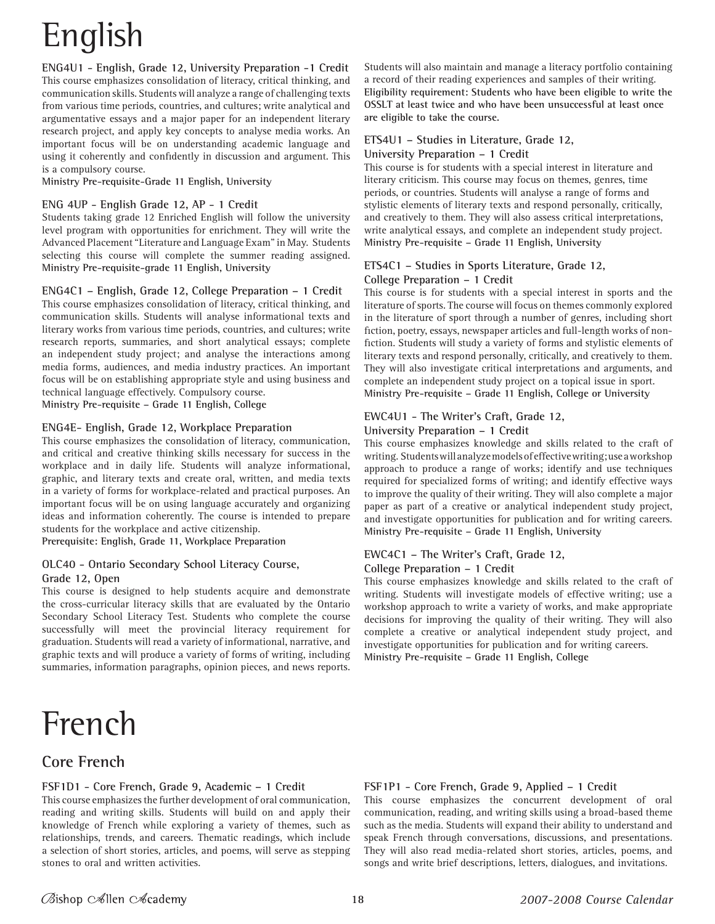# English

**ENG4U1 - English, Grade 12, University Preparation -1 Credit** This course emphasizes consolidation of literacy, critical thinking, and communication skills. Students will analyze a range of challenging texts from various time periods, countries, and cultures; write analytical and argumentative essays and a major paper for an independent literary research project, and apply key concepts to analyse media works. An important focus will be on understanding academic language and using it coherently and confidently in discussion and argument. This is a compulsory course.

**Ministry Pre-requisite-Grade 11 English, University**

#### **ENG 4UP - English Grade 12, AP - 1 Credit**

Students taking grade 12 Enriched English will follow the university level program with opportunities for enrichment. They will write the Advanced Placement "Literature and Language Exam" in May. Students selecting this course will complete the summer reading assigned. **Ministry Pre-requisite-grade 11 English, University**

#### **ENG4C1 – English, Grade 12, College Preparation – 1 Credit**

This course emphasizes consolidation of literacy, critical thinking, and communication skills. Students will analyse informational texts and literary works from various time periods, countries, and cultures; write research reports, summaries, and short analytical essays; complete an independent study project; and analyse the interactions among media forms, audiences, and media industry practices. An important focus will be on establishing appropriate style and using business and technical language effectively. Compulsory course.

**Ministry Pre-requisite – Grade 11 English, College**

#### **ENG4E- English, Grade 12, Workplace Preparation**

This course emphasizes the consolidation of literacy, communication, and critical and creative thinking skills necessary for success in the workplace and in daily life. Students will analyze informational, graphic, and literary texts and create oral, written, and media texts in a variety of forms for workplace-related and practical purposes. An important focus will be on using language accurately and organizing ideas and information coherently. The course is intended to prepare students for the workplace and active citizenship.

**Prerequisite: English, Grade 11, Workplace Preparation**

#### **OLC40 - Ontario Secondary School Literacy Course, Grade 12, Open**

This course is designed to help students acquire and demonstrate the cross-curricular literacy skills that are evaluated by the Ontario Secondary School Literacy Test. Students who complete the course successfully will meet the provincial literacy requirement for graduation. Students will read a variety of informational, narrative, and graphic texts and will produce a variety of forms of writing, including summaries, information paragraphs, opinion pieces, and news reports.

# French

# **Core French**

#### **FSF1D1 - Core French, Grade 9, Academic – 1 Credit**

This course emphasizes the further development of oral communication, reading and writing skills. Students will build on and apply their knowledge of French while exploring a variety of themes, such as relationships, trends, and careers. Thematic readings, which include a selection of short stories, articles, and poems, will serve as stepping stones to oral and written activities.

Students will also maintain and manage a literacy portfolio containing a record of their reading experiences and samples of their writing. **Eligibility requirement: Students who have been eligible to write the OSSLT at least twice and who have been unsuccessful at least once are eligible to take the course.**

# **ETS4U1 – Studies in Literature, Grade 12,**

#### **University Preparation – 1 Credit**

This course is for students with a special interest in literature and literary criticism. This course may focus on themes, genres, time periods, or countries. Students will analyse a range of forms and stylistic elements of literary texts and respond personally, critically, and creatively to them. They will also assess critical interpretations, write analytical essays, and complete an independent study project. **Ministry Pre-requisite – Grade 11 English, University**

#### **ETS4C1 – Studies in Sports Literature, Grade 12, College Preparation – 1 Credit**

This course is for students with a special interest in sports and the literature of sports. The course will focus on themes commonly explored in the literature of sport through a number of genres, including short fiction, poetry, essays, newspaper articles and full-length works of nonfiction. Students will study a variety of forms and stylistic elements of literary texts and respond personally, critically, and creatively to them. They will also investigate critical interpretations and arguments, and complete an independent study project on a topical issue in sport. **Ministry Pre-requisite – Grade 11 English, College or University**

#### **EWC4U1 - The Writer's Craft, Grade 12,**

#### **University Preparation – 1 Credit**

This course emphasizes knowledge and skills related to the craft of writing. Students will analyze models of effective writing; use a workshop approach to produce a range of works; identify and use techniques required for specialized forms of writing; and identify effective ways to improve the quality of their writing. They will also complete a major paper as part of a creative or analytical independent study project, and investigate opportunities for publication and for writing careers. **Ministry Pre-requisite – Grade 11 English, University**

#### **EWC4C1 – The Writer's Craft, Grade 12, College Preparation – 1 Credit**

This course emphasizes knowledge and skills related to the craft of writing. Students will investigate models of effective writing; use a workshop approach to write a variety of works, and make appropriate decisions for improving the quality of their writing. They will also complete a creative or analytical independent study project, and investigate opportunities for publication and for writing careers. **Ministry Pre-requisite – Grade 11 English, College**

#### **FSF1P1 - Core French, Grade 9, Applied – 1 Credit**

This course emphasizes the concurrent development of oral communication, reading, and writing skills using a broad-based theme such as the media. Students will expand their ability to understand and speak French through conversations, discussions, and presentations. They will also read media-related short stories, articles, poems, and songs and write brief descriptions, letters, dialogues, and invitations.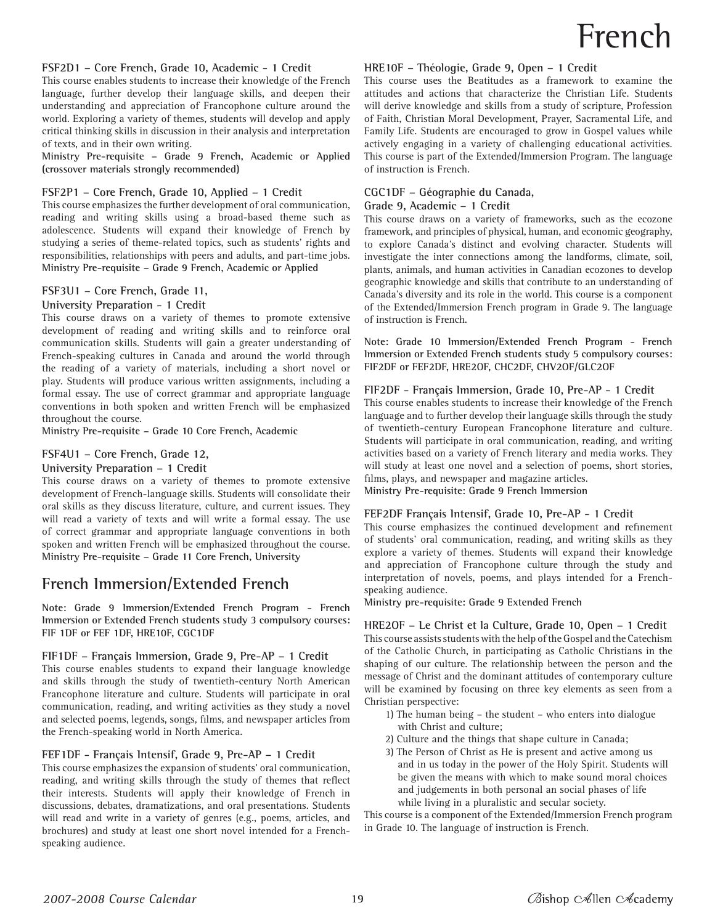#### **FSF2D1 – Core French, Grade 10, Academic - 1 Credit**

This course enables students to increase their knowledge of the French language, further develop their language skills, and deepen their understanding and appreciation of Francophone culture around the world. Exploring a variety of themes, students will develop and apply critical thinking skills in discussion in their analysis and interpretation of texts, and in their own writing.

**Ministry Pre-requisite – Grade 9 French, Academic or Applied (crossover materials strongly recommended)**

#### **FSF2P1 – Core French, Grade 10, Applied – 1 Credit**

This course emphasizes the further development of oral communication, reading and writing skills using a broad-based theme such as adolescence. Students will expand their knowledge of French by studying a series of theme-related topics, such as students' rights and responsibilities, relationships with peers and adults, and part-time jobs. **Ministry Pre-requisite – Grade 9 French, Academic or Applied**

#### **FSF3U1 – Core French, Grade 11,**

#### **University Preparation - 1 Credit**

This course draws on a variety of themes to promote extensive development of reading and writing skills and to reinforce oral communication skills. Students will gain a greater understanding of French-speaking cultures in Canada and around the world through the reading of a variety of materials, including a short novel or play. Students will produce various written assignments, including a formal essay. The use of correct grammar and appropriate language conventions in both spoken and written French will be emphasized throughout the course.

**Ministry Pre-requisite – Grade 10 Core French, Academic**

#### **FSF4U1 – Core French, Grade 12,**

#### **University Preparation – 1 Credit**

This course draws on a variety of themes to promote extensive development of French-language skills. Students will consolidate their oral skills as they discuss literature, culture, and current issues. They will read a variety of texts and will write a formal essay. The use of correct grammar and appropriate language conventions in both spoken and written French will be emphasized throughout the course. **Ministry Pre-requisite – Grade 11 Core French, University**

# **French Immersion/Extended French**

**Note: Grade 9 Immersion/Extended French Program - French Immersion or Extended French students study 3 compulsory courses: FIF 1DF or FEF 1DF, HRE10F, CGC1DF**

#### **FIF1DF – Français Immersion, Grade 9, Pre-AP – 1 Credit**

This course enables students to expand their language knowledge and skills through the study of twentieth-century North American Francophone literature and culture. Students will participate in oral communication, reading, and writing activities as they study a novel and selected poems, legends, songs, films, and newspaper articles from the French-speaking world in North America.

#### **FEF1DF - Français Intensif, Grade 9, Pre-AP – 1 Credit**

This course emphasizes the expansion of students' oral communication, reading, and writing skills through the study of themes that reflect their interests. Students will apply their knowledge of French in discussions, debates, dramatizations, and oral presentations. Students will read and write in a variety of genres (e.g., poems, articles, and brochures) and study at least one short novel intended for a Frenchspeaking audience.

#### **HRE10F – Théologie, Grade 9, Open – 1 Credit**

This course uses the Beatitudes as a framework to examine the attitudes and actions that characterize the Christian Life. Students will derive knowledge and skills from a study of scripture, Profession of Faith, Christian Moral Development, Prayer, Sacramental Life, and Family Life. Students are encouraged to grow in Gospel values while actively engaging in a variety of challenging educational activities. This course is part of the Extended/Immersion Program. The language of instruction is French.

#### **CGC1DF – Géographie du Canada,**

**Grade 9, Academic – 1 Credit**

This course draws on a variety of frameworks, such as the ecozone framework, and principles of physical, human, and economic geography, to explore Canada's distinct and evolving character. Students will investigate the inter connections among the landforms, climate, soil, plants, animals, and human activities in Canadian ecozones to develop geographic knowledge and skills that contribute to an understanding of Canada's diversity and its role in the world. This course is a component of the Extended/Immersion French program in Grade 9. The language of instruction is French.

**Note: Grade 10 Immersion/Extended French Program - French Immersion or Extended French students study 5 compulsory courses: FIF2DF or FEF2DF, HRE2OF, CHC2DF, CHV2OF/GLC2OF**

#### **FIF2DF - Français Immersion, Grade 10, Pre-AP - 1 Credit**

This course enables students to increase their knowledge of the French language and to further develop their language skills through the study of twentieth-century European Francophone literature and culture. Students will participate in oral communication, reading, and writing activities based on a variety of French literary and media works. They will study at least one novel and a selection of poems, short stories, films, plays, and newspaper and magazine articles. **Ministry Pre-requisite: Grade 9 French Immersion**

#### **FEF2DF Français Intensif, Grade 10, Pre-AP - 1 Credit**

This course emphasizes the continued development and refinement of students' oral communication, reading, and writing skills as they explore a variety of themes. Students will expand their knowledge and appreciation of Francophone culture through the study and interpretation of novels, poems, and plays intended for a Frenchspeaking audience.

**Ministry pre-requisite: Grade 9 Extended French**

#### **HRE2OF – Le Christ et la Culture, Grade 10, Open – 1 Credit** This course assists students with the help of the Gospel and the Catechism of the Catholic Church, in participating as Catholic Christians in the shaping of our culture. The relationship between the person and the message of Christ and the dominant attitudes of contemporary culture will be examined by focusing on three key elements as seen from a Christian perspective:

- 1) The human being the student who enters into dialogue with Christ and culture;
- 2) Culture and the things that shape culture in Canada;
- 3) The Person of Christ as He is present and active among us and in us today in the power of the Holy Spirit. Students will be given the means with which to make sound moral choices and judgements in both personal an social phases of life while living in a pluralistic and secular society.

This course is a component of the Extended/Immersion French program in Grade 10. The language of instruction is French.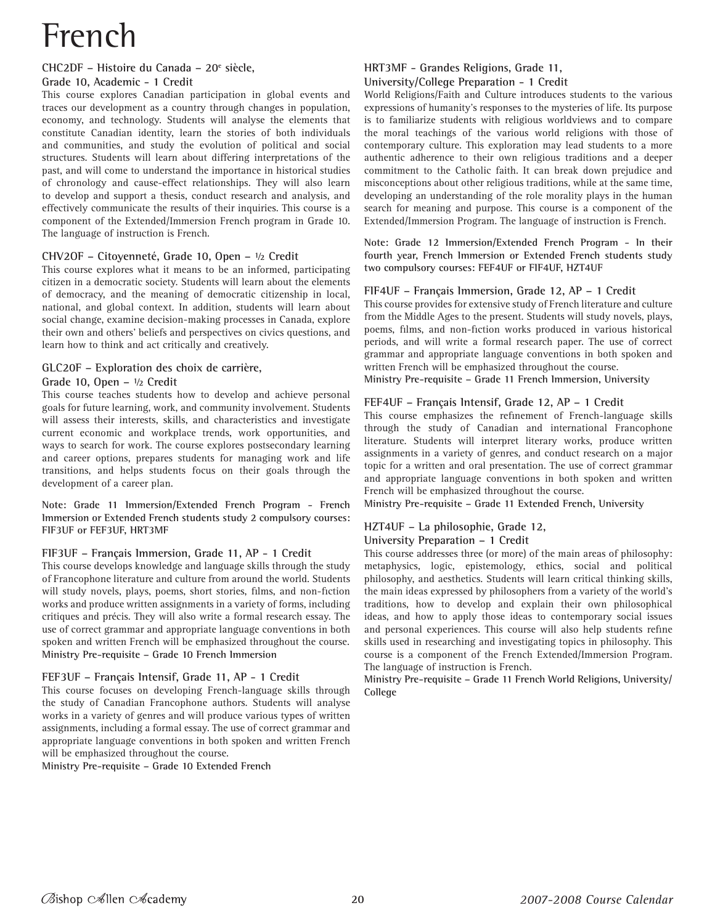# French

#### CHC2DF - Histoire du Canada - 20<sup>e</sup> siècle, **Grade 10, Academic - 1 Credit**

This course explores Canadian participation in global events and traces our development as a country through changes in population, economy, and technology. Students will analyse the elements that constitute Canadian identity, learn the stories of both individuals and communities, and study the evolution of political and social structures. Students will learn about differing interpretations of the past, and will come to understand the importance in historical studies of chronology and cause-effect relationships. They will also learn to develop and support a thesis, conduct research and analysis, and effectively communicate the results of their inquiries. This course is a component of the Extended/Immersion French program in Grade 10. The language of instruction is French.

#### **CHV2OF – Citoyenneté, Grade 10, Open – ½ Credit**

This course explores what it means to be an informed, participating citizen in a democratic society. Students will learn about the elements of democracy, and the meaning of democratic citizenship in local, national, and global context. In addition, students will learn about social change, examine decision-making processes in Canada, explore their own and others' beliefs and perspectives on civics questions, and learn how to think and act critically and creatively.

#### **GLC20F – Exploration des choix de carrière,**

#### **Grade 10, Open – ½ Credit**

This course teaches students how to develop and achieve personal goals for future learning, work, and community involvement. Students will assess their interests, skills, and characteristics and investigate current economic and workplace trends, work opportunities, and ways to search for work. The course explores postsecondary learning and career options, prepares students for managing work and life transitions, and helps students focus on their goals through the development of a career plan.

**Note: Grade 11 Immersion/Extended French Program - French Immersion or Extended French students study 2 compulsory courses: FIF3UF or FEF3UF, HRT3MF**

#### **FIF3UF – Français Immersion, Grade 11, AP - 1 Credit**

This course develops knowledge and language skills through the study of Francophone literature and culture from around the world. Students will study novels, plays, poems, short stories, films, and non-fiction works and produce written assignments in a variety of forms, including critiques and précis. They will also write a formal research essay. The use of correct grammar and appropriate language conventions in both spoken and written French will be emphasized throughout the course. **Ministry Pre-requisite – Grade 10 French Immersion**

#### **FEF3UF – Français Intensif, Grade 11, AP - 1 Credit**

This course focuses on developing French-language skills through the study of Canadian Francophone authors. Students will analyse works in a variety of genres and will produce various types of written assignments, including a formal essay. The use of correct grammar and appropriate language conventions in both spoken and written French will be emphasized throughout the course.

**Ministry Pre-requisite – Grade 10 Extended French**

#### **HRT3MF - Grandes Religions, Grade 11, University/College Preparation - 1 Credit**

World Religions/Faith and Culture introduces students to the various expressions of humanity's responses to the mysteries of life. Its purpose is to familiarize students with religious worldviews and to compare the moral teachings of the various world religions with those of contemporary culture. This exploration may lead students to a more authentic adherence to their own religious traditions and a deeper commitment to the Catholic faith. It can break down prejudice and misconceptions about other religious traditions, while at the same time, developing an understanding of the role morality plays in the human search for meaning and purpose. This course is a component of the Extended/Immersion Program. The language of instruction is French.

**Note: Grade 12 Immersion/Extended French Program - In their fourth year, French Immersion or Extended French students study two compulsory courses: FEF4UF or FIF4UF, HZT4UF**

#### **FIF4UF – Français Immersion, Grade 12, AP – 1 Credit**

This course provides for extensive study of French literature and culture from the Middle Ages to the present. Students will study novels, plays, poems, films, and non-fiction works produced in various historical periods, and will write a formal research paper. The use of correct grammar and appropriate language conventions in both spoken and written French will be emphasized throughout the course.

**Ministry Pre-requisite – Grade 11 French Immersion, University**

#### **FEF4UF – Français Intensif, Grade 12, AP – 1 Credit**

This course emphasizes the refinement of French-language skills through the study of Canadian and international Francophone literature. Students will interpret literary works, produce written assignments in a variety of genres, and conduct research on a major topic for a written and oral presentation. The use of correct grammar and appropriate language conventions in both spoken and written French will be emphasized throughout the course.

**Ministry Pre-requisite – Grade 11 Extended French, University**

#### **HZT4UF – La philosophie, Grade 12,**

#### **University Preparation – 1 Credit**

This course addresses three (or more) of the main areas of philosophy: metaphysics, logic, epistemology, ethics, social and political philosophy, and aesthetics. Students will learn critical thinking skills, the main ideas expressed by philosophers from a variety of the world's traditions, how to develop and explain their own philosophical ideas, and how to apply those ideas to contemporary social issues and personal experiences. This course will also help students refine skills used in researching and investigating topics in philosophy. This course is a component of the French Extended/Immersion Program. The language of instruction is French.

**Ministry Pre-requisite – Grade 11 French World Religions, University/ College**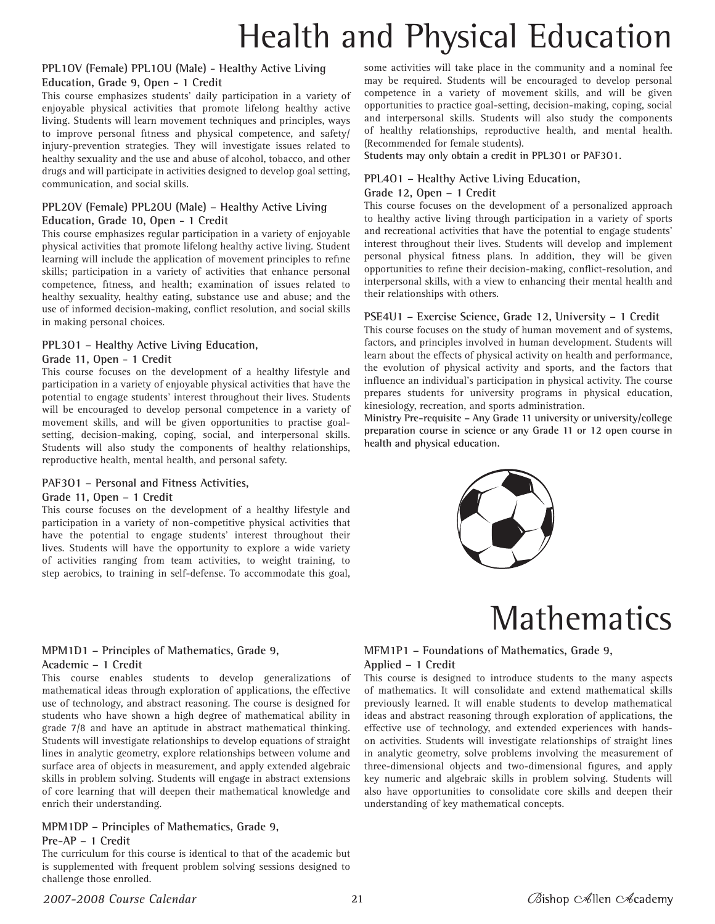# Health and Physical Education

#### **PPL1OV (Female) PPL1OU (Male) - Healthy Active Living Education, Grade 9, Open - 1 Credit**

This course emphasizes students' daily participation in a variety of enjoyable physical activities that promote lifelong healthy active living. Students will learn movement techniques and principles, ways to improve personal fitness and physical competence, and safety/ injury-prevention strategies. They will investigate issues related to healthy sexuality and the use and abuse of alcohol, tobacco, and other drugs and will participate in activities designed to develop goal setting, communication, and social skills.

#### **PPL2OV (Female) PPL2OU (Male) – Healthy Active Living Education, Grade 10, Open - 1 Credit**

This course emphasizes regular participation in a variety of enjoyable physical activities that promote lifelong healthy active living. Student learning will include the application of movement principles to refine skills; participation in a variety of activities that enhance personal competence, fitness, and health; examination of issues related to healthy sexuality, healthy eating, substance use and abuse; and the use of informed decision-making, conflict resolution, and social skills in making personal choices.

#### **PPL3O1 – Healthy Active Living Education,**

#### **Grade 11, Open - 1 Credit**

This course focuses on the development of a healthy lifestyle and participation in a variety of enjoyable physical activities that have the potential to engage students' interest throughout their lives. Students will be encouraged to develop personal competence in a variety of movement skills, and will be given opportunities to practise goalsetting, decision-making, coping, social, and interpersonal skills. Students will also study the components of healthy relationships, reproductive health, mental health, and personal safety.

#### **PAF3O1 – Personal and Fitness Activities,**

#### **Grade 11, Open – 1 Credit**

This course focuses on the development of a healthy lifestyle and participation in a variety of non-competitive physical activities that have the potential to engage students' interest throughout their lives. Students will have the opportunity to explore a wide variety of activities ranging from team activities, to weight training, to step aerobics, to training in self-defense. To accommodate this goal,

#### **MPM1D1 – Principles of Mathematics, Grade 9, Academic – 1 Credit**

This course enables students to develop generalizations of mathematical ideas through exploration of applications, the effective use of technology, and abstract reasoning. The course is designed for students who have shown a high degree of mathematical ability in grade 7/8 and have an aptitude in abstract mathematical thinking. Students will investigate relationships to develop equations of straight lines in analytic geometry, explore relationships between volume and surface area of objects in measurement, and apply extended algebraic skills in problem solving. Students will engage in abstract extensions of core learning that will deepen their mathematical knowledge and enrich their understanding.

#### **MPM1DP – Principles of Mathematics, Grade 9, Pre-AP – 1 Credit**

The curriculum for this course is identical to that of the academic but is supplemented with frequent problem solving sessions designed to challenge those enrolled.

some activities will take place in the community and a nominal fee may be required. Students will be encouraged to develop personal competence in a variety of movement skills, and will be given opportunities to practice goal-setting, decision-making, coping, social and interpersonal skills. Students will also study the components of healthy relationships, reproductive health, and mental health. (Recommended for female students).

**Students may only obtain a credit in PPL3O1 or PAF3O1.**

## **PPL4O1 – Healthy Active Living Education,**

#### **Grade 12, Open – 1 Credit**

This course focuses on the development of a personalized approach to healthy active living through participation in a variety of sports and recreational activities that have the potential to engage students' interest throughout their lives. Students will develop and implement personal physical fitness plans. In addition, they will be given opportunities to refine their decision-making, conflict-resolution, and interpersonal skills, with a view to enhancing their mental health and their relationships with others.

#### **PSE4U1 – Exercise Science, Grade 12, University – 1 Credit**

This course focuses on the study of human movement and of systems, factors, and principles involved in human development. Students will learn about the effects of physical activity on health and performance, the evolution of physical activity and sports, and the factors that influence an individual's participation in physical activity. The course prepares students for university programs in physical education, kinesiology, recreation, and sports administration.

**Ministry Pre-requisite – Any Grade 11 university or university/college preparation course in science or any Grade 11 or 12 open course in health and physical education.**





#### **MFM1P1 – Foundations of Mathematics, Grade 9, Applied – 1 Credit**

This course is designed to introduce students to the many aspects of mathematics. It will consolidate and extend mathematical skills previously learned. It will enable students to develop mathematical ideas and abstract reasoning through exploration of applications, the effective use of technology, and extended experiences with handson activities. Students will investigate relationships of straight lines in analytic geometry, solve problems involving the measurement of three-dimensional objects and two-dimensional figures, and apply key numeric and algebraic skills in problem solving. Students will also have opportunities to consolidate core skills and deepen their understanding of key mathematical concepts.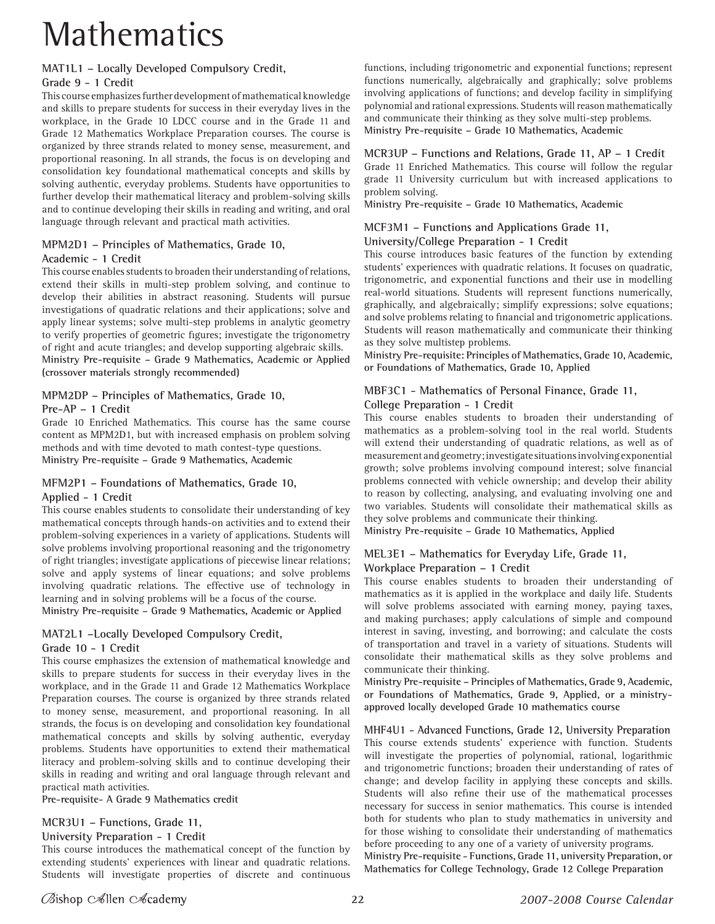# **Mathematics**

# **MAT1L1 – Locally Developed Compulsory Credit,**

#### **Grade 9 - 1 Credit**

This course emphasizes further development of mathematical knowledge and skills to prepare students for success in their everyday lives in the workplace, in the Grade 10 LDCC course and in the Grade 11 and Grade 12 Mathematics Workplace Preparation courses. The course is organized by three strands related to money sense, measurement, and proportional reasoning. In all strands, the focus is on developing and consolidation key foundational mathematical concepts and skills by solving authentic, everyday problems. Students have opportunities to further develop their mathematical literacy and problem-solving skills and to continue developing their skills in reading and writing, and oral language through relevant and practical math activities.

#### **MPM2D1 – Principles of Mathematics, Grade 10, Academic - 1 Credit**

This course enables students to broaden their understanding of relations, extend their skills in multi-step problem solving, and continue to develop their abilities in abstract reasoning. Students will pursue investigations of quadratic relations and their applications; solve and apply linear systems; solve multi-step problems in analytic geometry to verify properties of geometric figures; investigate the trigonometry of right and acute triangles; and develop supporting algebraic skills. **Ministry Pre-requisite – Grade 9 Mathematics, Academic or Applied (crossover materials strongly recommended)**

## **MPM2DP – Principles of Mathematics, Grade 10,**

#### **Pre-AP – 1 Credit**

Grade 10 Enriched Mathematics. This course has the same course content as MPM2D1, but with increased emphasis on problem solving methods and with time devoted to math contest-type questions. **Ministry Pre-requisite – Grade 9 Mathematics, Academic**

#### **MFM2P1 – Foundations of Mathematics, Grade 10, Applied - 1 Credit**

This course enables students to consolidate their understanding of key mathematical concepts through hands-on activities and to extend their problem-solving experiences in a variety of applications. Students will solve problems involving proportional reasoning and the trigonometry of right triangles; investigate applications of piecewise linear relations; solve and apply systems of linear equations; and solve problems involving quadratic relations. The effective use of technology in learning and in solving problems will be a focus of the course. **Ministry Pre-requisite – Grade 9 Mathematics, Academic or Applied**

**MAT2L1 –Locally Developed Compulsory Credit,** 

#### **Grade 10 - 1 Credit**

This course emphasizes the extension of mathematical knowledge and skills to prepare students for success in their everyday lives in the workplace, and in the Grade 11 and Grade 12 Mathematics Workplace Preparation courses. The course is organized by three strands related to money sense, measurement, and proportional reasoning. In all strands, the focus is on developing and consolidation key foundational mathematical concepts and skills by solving authentic, everyday problems. Students have opportunities to extend their mathematical literacy and problem-solving skills and to continue developing their skills in reading and writing and oral language through relevant and practical math activities.

**Pre-requisite- A Grade 9 Mathematics credit**

#### **MCR3U1 – Functions, Grade 11,**

#### **University Preparation - 1 Credit**

This course introduces the mathematical concept of the function by extending students' experiences with linear and quadratic relations. Students will investigate properties of discrete and continuous functions, including trigonometric and exponential functions; represent functions numerically, algebraically and graphically; solve problems involving applications of functions; and develop facility in simplifying polynomial and rational expressions. Students will reason mathematically and communicate their thinking as they solve multi-step problems. **Ministry Pre-requisite – Grade 10 Mathematics, Academic**

#### **MCR3UP – Functions and Relations, Grade 11, AP – 1 Credit**

Grade 11 Enriched Mathematics. This course will follow the regular grade 11 University curriculum but with increased applications to problem solving.

**Ministry Pre-requisite – Grade 10 Mathematics, Academic**

# **MCF3M1 – Functions and Applications Grade 11,**

#### **University/College Preparation - 1 Credit**

This course introduces basic features of the function by extending students' experiences with quadratic relations. It focuses on quadratic, trigonometric, and exponential functions and their use in modelling real-world situations. Students will represent functions numerically, graphically, and algebraically; simplify expressions; solve equations; and solve problems relating to financial and trigonometric applications. Students will reason mathematically and communicate their thinking as they solve multistep problems.

**Ministry Pre-requisite: Principles of Mathematics, Grade 10, Academic, or Foundations of Mathematics, Grade 10, Applied**

#### **MBF3C1 - Mathematics of Personal Finance, Grade 11, College Preparation - 1 Credit**

This course enables students to broaden their understanding of mathematics as a problem-solving tool in the real world. Students will extend their understanding of quadratic relations, as well as of measurement and geometry; investigate situations involving exponential growth; solve problems involving compound interest; solve financial problems connected with vehicle ownership; and develop their ability to reason by collecting, analysing, and evaluating involving one and two variables. Students will consolidate their mathematical skills as they solve problems and communicate their thinking.

**Ministry Pre-requisite – Grade 10 Mathematics, Applied**

#### **MEL3E1 – Mathematics for Everyday Life, Grade 11, Workplace Preparation – 1 Credit**

This course enables students to broaden their understanding of mathematics as it is applied in the workplace and daily life. Students will solve problems associated with earning money, paying taxes, and making purchases; apply calculations of simple and compound interest in saving, investing, and borrowing; and calculate the costs of transportation and travel in a variety of situations. Students will consolidate their mathematical skills as they solve problems and communicate their thinking.

**Ministry Pre-requisite – Principles of Mathematics, Grade 9, Academic, or Foundations of Mathematics, Grade 9, Applied, or a ministryapproved locally developed Grade 10 mathematics course**

**MHF4U1 - Advanced Functions, Grade 12, University Preparation** This course extends students' experience with function. Students will investigate the properties of polynomial, rational, logarithmic and trigonometric functions; broaden their understanding of rates of change; and develop facility in applying these concepts and skills. Students will also refine their use of the mathematical processes necessary for success in senior mathematics. This course is intended both for students who plan to study mathematics in university and for those wishing to consolidate their understanding of mathematics before proceeding to any one of a variety of university programs.

**Ministry Pre-requisite - Functions, Grade 11, university Preparation, or Mathematics for College Technology, Grade 12 College Preparation**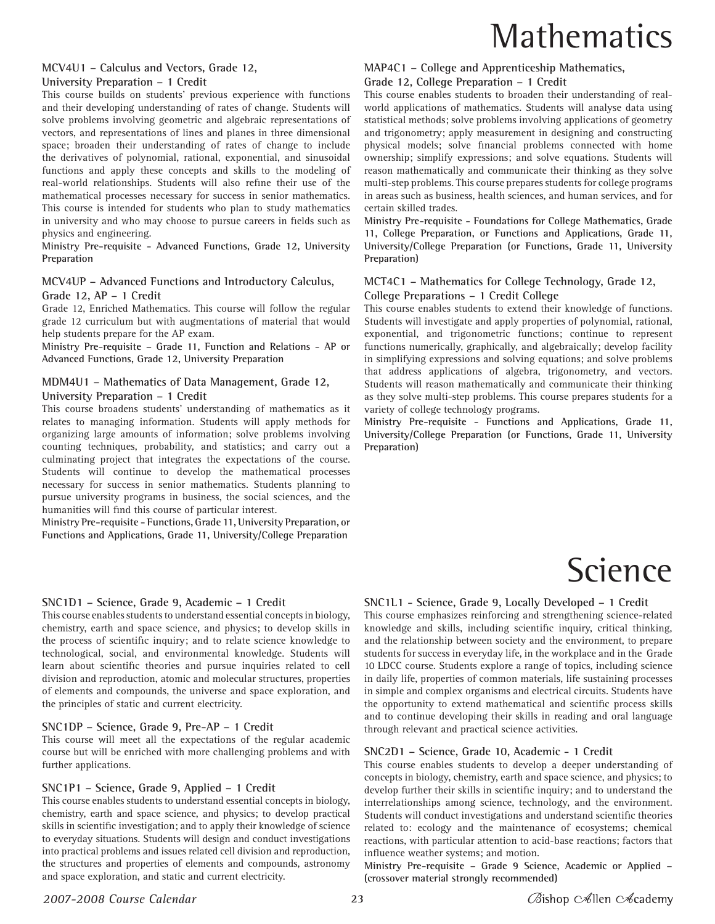# **Mathematics**

#### **MCV4U1 – Calculus and Vectors, Grade 12, University Preparation – 1 Credit**

This course builds on students' previous experience with functions and their developing understanding of rates of change. Students will solve problems involving geometric and algebraic representations of vectors, and representations of lines and planes in three dimensional space; broaden their understanding of rates of change to include the derivatives of polynomial, rational, exponential, and sinusoidal functions and apply these concepts and skills to the modeling of real-world relationships. Students will also refine their use of the mathematical processes necessary for success in senior mathematics. This course is intended for students who plan to study mathematics in university and who may choose to pursue careers in fields such as physics and engineering.

**Ministry Pre-requisite - Advanced Functions, Grade 12, University Preparation** 

#### **MCV4UP – Advanced Functions and Introductory Calculus, Grade 12, AP – 1 Credit**

Grade 12, Enriched Mathematics. This course will follow the regular grade 12 curriculum but with augmentations of material that would help students prepare for the AP exam.

**Ministry Pre-requisite – Grade 11, Function and Relations - AP or Advanced Functions, Grade 12, University Preparation**

#### **MDM4U1 – Mathematics of Data Management, Grade 12, University Preparation – 1 Credit**

This course broadens students' understanding of mathematics as it relates to managing information. Students will apply methods for organizing large amounts of information; solve problems involving counting techniques, probability, and statistics; and carry out a culminating project that integrates the expectations of the course. Students will continue to develop the mathematical processes necessary for success in senior mathematics. Students planning to pursue university programs in business, the social sciences, and the humanities will find this course of particular interest.

**Ministry Pre-requisite - Functions, Grade 11, University Preparation, or Functions and Applications, Grade 11, University/College Preparation**

#### **SNC1D1 – Science, Grade 9, Academic – 1 Credit**

This course enables students to understand essential concepts in biology, chemistry, earth and space science, and physics; to develop skills in the process of scientific inquiry; and to relate science knowledge to technological, social, and environmental knowledge. Students will learn about scientific theories and pursue inquiries related to cell division and reproduction, atomic and molecular structures, properties of elements and compounds, the universe and space exploration, and the principles of static and current electricity.

#### **SNC1DP – Science, Grade 9, Pre-AP – 1 Credit**

This course will meet all the expectations of the regular academic course but will be enriched with more challenging problems and with further applications.

#### **SNC1P1 – Science, Grade 9, Applied – 1 Credit**

This course enables students to understand essential concepts in biology, chemistry, earth and space science, and physics; to develop practical skills in scientific investigation; and to apply their knowledge of science to everyday situations. Students will design and conduct investigations into practical problems and issues related cell division and reproduction, the structures and properties of elements and compounds, astronomy and space exploration, and static and current electricity.

#### **MAP4C1 – College and Apprenticeship Mathematics,**

#### **Grade 12, College Preparation – 1 Credit**

This course enables students to broaden their understanding of realworld applications of mathematics. Students will analyse data using statistical methods; solve problems involving applications of geometry and trigonometry; apply measurement in designing and constructing physical models; solve financial problems connected with home ownership; simplify expressions; and solve equations. Students will reason mathematically and communicate their thinking as they solve multi-step problems. This course prepares students for college programs in areas such as business, health sciences, and human services, and for certain skilled trades.

**Ministry Pre-requisite - Foundations for College Mathematics, Grade 11, College Preparation, or Functions and Applications, Grade 11, University/College Preparation (or Functions, Grade 11, University Preparation)**

#### **MCT4C1 – Mathematics for College Technology, Grade 12, College Preparations – 1 Credit College**

This course enables students to extend their knowledge of functions. Students will investigate and apply properties of polynomial, rational, exponential, and trigonometric functions; continue to represent functions numerically, graphically, and algebraically; develop facility in simplifying expressions and solving equations; and solve problems that address applications of algebra, trigonometry, and vectors. Students will reason mathematically and communicate their thinking as they solve multi-step problems. This course prepares students for a variety of college technology programs.

**Ministry Pre-requisite - Functions and Applications, Grade 11, University/College Preparation (or Functions, Grade 11, University Preparation)**

# Science

**SNC1L1 - Science, Grade 9, Locally Developed – 1 Credit**

This course emphasizes reinforcing and strengthening science-related knowledge and skills, including scientific inquiry, critical thinking, and the relationship between society and the environment, to prepare students for success in everyday life, in the workplace and in the Grade 10 LDCC course. Students explore a range of topics, including science in daily life, properties of common materials, life sustaining processes in simple and complex organisms and electrical circuits. Students have the opportunity to extend mathematical and scientific process skills and to continue developing their skills in reading and oral language through relevant and practical science activities.

#### **SNC2D1 – Science, Grade 10, Academic - 1 Credit**

This course enables students to develop a deeper understanding of concepts in biology, chemistry, earth and space science, and physics; to develop further their skills in scientific inquiry; and to understand the interrelationships among science, technology, and the environment. Students will conduct investigations and understand scientific theories related to: ecology and the maintenance of ecosystems; chemical reactions, with particular attention to acid-base reactions; factors that influence weather systems; and motion.

**Ministry Pre-requisite – Grade 9 Science, Academic or Applied – (crossover material strongly recommended)**

#### *2007-2008 Course Calendar* **23**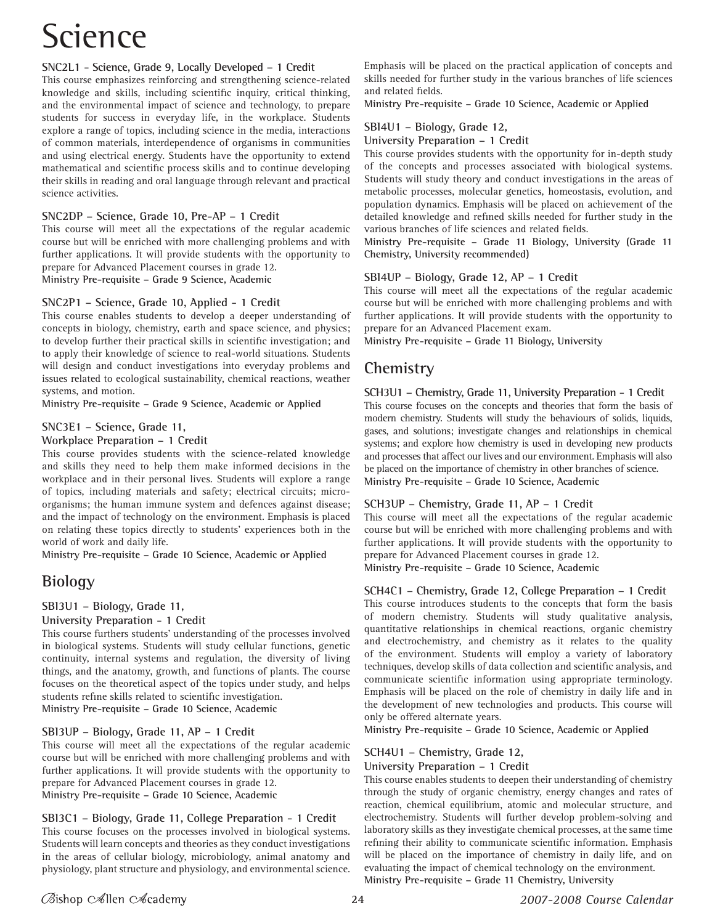# Science

#### **SNC2L1 - Science, Grade 9, Locally Developed – 1 Credit**

This course emphasizes reinforcing and strengthening science-related knowledge and skills, including scientific inquiry, critical thinking, and the environmental impact of science and technology, to prepare students for success in everyday life, in the workplace. Students explore a range of topics, including science in the media, interactions of common materials, interdependence of organisms in communities and using electrical energy. Students have the opportunity to extend mathematical and scientific process skills and to continue developing their skills in reading and oral language through relevant and practical science activities.

#### **SNC2DP – Science, Grade 10, Pre-AP – 1 Credit**

This course will meet all the expectations of the regular academic course but will be enriched with more challenging problems and with further applications. It will provide students with the opportunity to prepare for Advanced Placement courses in grade 12.

**Ministry Pre-requisite – Grade 9 Science, Academic**

#### **SNC2P1 – Science, Grade 10, Applied - 1 Credit**

This course enables students to develop a deeper understanding of concepts in biology, chemistry, earth and space science, and physics; to develop further their practical skills in scientific investigation; and to apply their knowledge of science to real-world situations. Students will design and conduct investigations into everyday problems and issues related to ecological sustainability, chemical reactions, weather systems, and motion.

**Ministry Pre-requisite – Grade 9 Science, Academic or Applied**

#### **SNC3E1 – Science, Grade 11,**

#### **Workplace Preparation – 1 Credit**

This course provides students with the science-related knowledge and skills they need to help them make informed decisions in the workplace and in their personal lives. Students will explore a range of topics, including materials and safety; electrical circuits; microorganisms; the human immune system and defences against disease; and the impact of technology on the environment. Emphasis is placed on relating these topics directly to students' experiences both in the world of work and daily life.

**Ministry Pre-requisite – Grade 10 Science, Academic or Applied**

# **Biology**

#### **SBI3U1 – Biology, Grade 11,**

#### **University Preparation - 1 Credit**

This course furthers students' understanding of the processes involved in biological systems. Students will study cellular functions, genetic continuity, internal systems and regulation, the diversity of living things, and the anatomy, growth, and functions of plants. The course focuses on the theoretical aspect of the topics under study, and helps students refine skills related to scientific investigation. **Ministry Pre-requisite – Grade 10 Science, Academic**

**SBI3UP – Biology, Grade 11, AP – 1 Credit**

This course will meet all the expectations of the regular academic course but will be enriched with more challenging problems and with further applications. It will provide students with the opportunity to prepare for Advanced Placement courses in grade 12.

**Ministry Pre-requisite – Grade 10 Science, Academic**

#### **SBI3C1 – Biology, Grade 11, College Preparation - 1 Credit**

This course focuses on the processes involved in biological systems. Students will learn concepts and theories as they conduct investigations in the areas of cellular biology, microbiology, animal anatomy and physiology, plant structure and physiology, and environmental science.

Emphasis will be placed on the practical application of concepts and skills needed for further study in the various branches of life sciences and related fields.

**Ministry Pre-requisite – Grade 10 Science, Academic or Applied**

#### **SBI4U1 – Biology, Grade 12,**

#### **University Preparation – 1 Credit**

This course provides students with the opportunity for in-depth study of the concepts and processes associated with biological systems. Students will study theory and conduct investigations in the areas of metabolic processes, molecular genetics, homeostasis, evolution, and population dynamics. Emphasis will be placed on achievement of the detailed knowledge and refined skills needed for further study in the various branches of life sciences and related fields.

**Ministry Pre-requisite – Grade 11 Biology, University (Grade 11 Chemistry, University recommended)**

#### **SBI4UP – Biology, Grade 12, AP – 1 Credit**

This course will meet all the expectations of the regular academic course but will be enriched with more challenging problems and with further applications. It will provide students with the opportunity to prepare for an Advanced Placement exam.

**Ministry Pre-requisite – Grade 11 Biology, University**

# **Chemistry**

#### **SCH3U1 – Chemistry, Grade 11, University Preparation - 1 Credit**

This course focuses on the concepts and theories that form the basis of modern chemistry. Students will study the behaviours of solids, liquids, gases, and solutions; investigate changes and relationships in chemical systems; and explore how chemistry is used in developing new products and processes that affect our lives and our environment. Emphasis will also be placed on the importance of chemistry in other branches of science. **Ministry Pre-requisite – Grade 10 Science, Academic**

#### **SCH3UP – Chemistry, Grade 11, AP – 1 Credit**

This course will meet all the expectations of the regular academic course but will be enriched with more challenging problems and with further applications. It will provide students with the opportunity to prepare for Advanced Placement courses in grade 12. **Ministry Pre-requisite – Grade 10 Science, Academic**

#### **SCH4C1 – Chemistry, Grade 12, College Preparation – 1 Credit**

This course introduces students to the concepts that form the basis of modern chemistry. Students will study qualitative analysis, quantitative relationships in chemical reactions, organic chemistry and electrochemistry, and chemistry as it relates to the quality of the environment. Students will employ a variety of laboratory techniques, develop skills of data collection and scientific analysis, and communicate scientific information using appropriate terminology. Emphasis will be placed on the role of chemistry in daily life and in the development of new technologies and products. This course will only be offered alternate years.

**Ministry Pre-requisite – Grade 10 Science, Academic or Applied**

#### **SCH4U1 – Chemistry, Grade 12,**

#### **University Preparation – 1 Credit**

This course enables students to deepen their understanding of chemistry through the study of organic chemistry, energy changes and rates of reaction, chemical equilibrium, atomic and molecular structure, and electrochemistry. Students will further develop problem-solving and laboratory skills as they investigate chemical processes, at the same time refining their ability to communicate scientific information. Emphasis will be placed on the importance of chemistry in daily life, and on evaluating the impact of chemical technology on the environment. **Ministry Pre-requisite – Grade 11 Chemistry, University**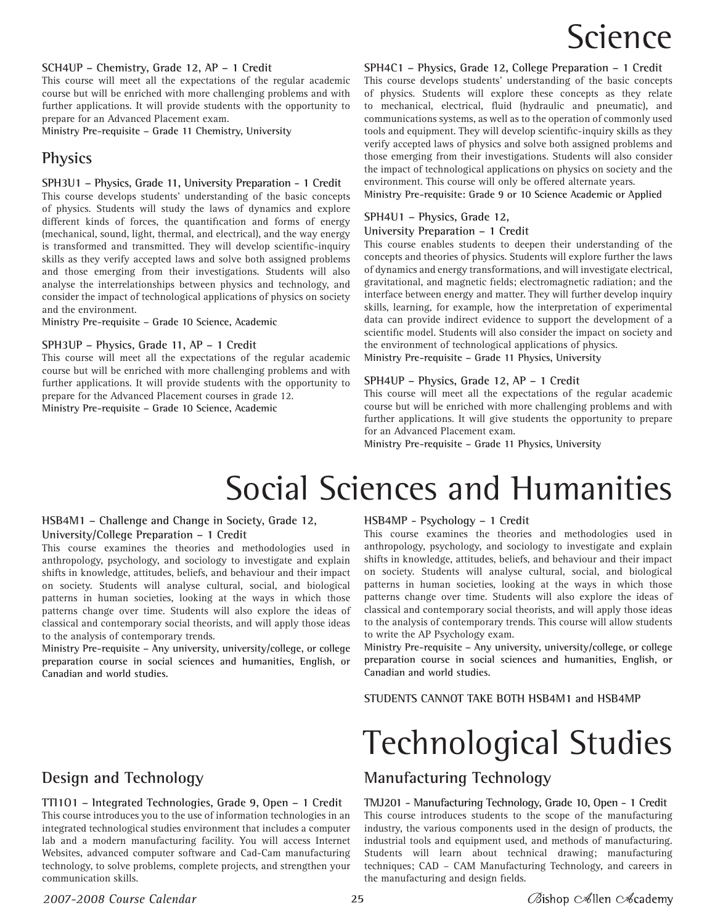# Science

#### **SCH4UP – Chemistry, Grade 12, AP – 1 Credit**

This course will meet all the expectations of the regular academic course but will be enriched with more challenging problems and with further applications. It will provide students with the opportunity to prepare for an Advanced Placement exam.

**Ministry Pre-requisite – Grade 11 Chemistry, University**

## **Physics**

#### **SPH3U1 – Physics, Grade 11, University Preparation - 1 Credit**

This course develops students' understanding of the basic concepts of physics. Students will study the laws of dynamics and explore different kinds of forces, the quantification and forms of energy (mechanical, sound, light, thermal, and electrical), and the way energy is transformed and transmitted. They will develop scientific-inquiry skills as they verify accepted laws and solve both assigned problems and those emerging from their investigations. Students will also analyse the interrelationships between physics and technology, and consider the impact of technological applications of physics on society and the environment.

**Ministry Pre-requisite – Grade 10 Science, Academic**

#### **SPH3UP – Physics, Grade 11, AP – 1 Credit**

This course will meet all the expectations of the regular academic course but will be enriched with more challenging problems and with further applications. It will provide students with the opportunity to prepare for the Advanced Placement courses in grade 12.

**Ministry Pre-requisite – Grade 10 Science, Academic**

**SPH4C1 – Physics, Grade 12, College Preparation – 1 Credit** This course develops students' understanding of the basic concepts of physics. Students will explore these concepts as they relate to mechanical, electrical, fluid (hydraulic and pneumatic), and communications systems, as well as to the operation of commonly used tools and equipment. They will develop scientific-inquiry skills as they verify accepted laws of physics and solve both assigned problems and those emerging from their investigations. Students will also consider the impact of technological applications on physics on society and the environment. This course will only be offered alternate years.

**Ministry Pre-requisite: Grade 9 or 10 Science Academic or Applied**

#### **SPH4U1 – Physics, Grade 12,**

#### **University Preparation – 1 Credit**

This course enables students to deepen their understanding of the concepts and theories of physics. Students will explore further the laws of dynamics and energy transformations, and will investigate electrical, gravitational, and magnetic fields; electromagnetic radiation; and the interface between energy and matter. They will further develop inquiry skills, learning, for example, how the interpretation of experimental data can provide indirect evidence to support the development of a scientific model. Students will also consider the impact on society and the environment of technological applications of physics. **Ministry Pre-requisite – Grade 11 Physics, University**

# **SPH4UP – Physics, Grade 12, AP – 1 Credit**

This course will meet all the expectations of the regular academic course but will be enriched with more challenging problems and with further applications. It will give students the opportunity to prepare for an Advanced Placement exam.

**Ministry Pre-requisite – Grade 11 Physics, University**

# Social Sciences and Humanities

#### **HSB4M1 – Challenge and Change in Society, Grade 12, University/College Preparation – 1 Credit**

This course examines the theories and methodologies used in anthropology, psychology, and sociology to investigate and explain shifts in knowledge, attitudes, beliefs, and behaviour and their impact on society. Students will analyse cultural, social, and biological patterns in human societies, looking at the ways in which those patterns change over time. Students will also explore the ideas of classical and contemporary social theorists, and will apply those ideas to the analysis of contemporary trends.

**Ministry Pre-requisite – Any university, university/college, or college preparation course in social sciences and humanities, English, or Canadian and world studies.**

# **Design and Technology**

**TTI1O1 – Integrated Technologies, Grade 9, Open – 1 Credit** This course introduces you to the use of information technologies in an integrated technological studies environment that includes a computer lab and a modern manufacturing facility. You will access Internet Websites, advanced computer software and Cad-Cam manufacturing technology, to solve problems, complete projects, and strengthen your communication skills.

#### **HSB4MP - Psychology – 1 Credit**

This course examines the theories and methodologies used in anthropology, psychology, and sociology to investigate and explain shifts in knowledge, attitudes, beliefs, and behaviour and their impact on society. Students will analyse cultural, social, and biological patterns in human societies, looking at the ways in which those patterns change over time. Students will also explore the ideas of classical and contemporary social theorists, and will apply those ideas to the analysis of contemporary trends. This course will allow students to write the AP Psychology exam.

**Ministry Pre-requisite – Any university, university/college, or college preparation course in social sciences and humanities, English, or Canadian and world studies.**

**STUDENTS CANNOT TAKE BOTH HSB4M1 and HSB4MP**

# Technological Studies

# **Manufacturing Technology**

**TMJ201 - Manufacturing Technology, Grade 10, Open - 1 Credit** This course introduces students to the scope of the manufacturing industry, the various components used in the design of products, the industrial tools and equipment used, and methods of manufacturing. Students will learn about technical drawing; manufacturing techniques; CAD – CAM Manufacturing Technology, and careers in the manufacturing and design fields.

#### *2007-2008 Course Calendar* **25**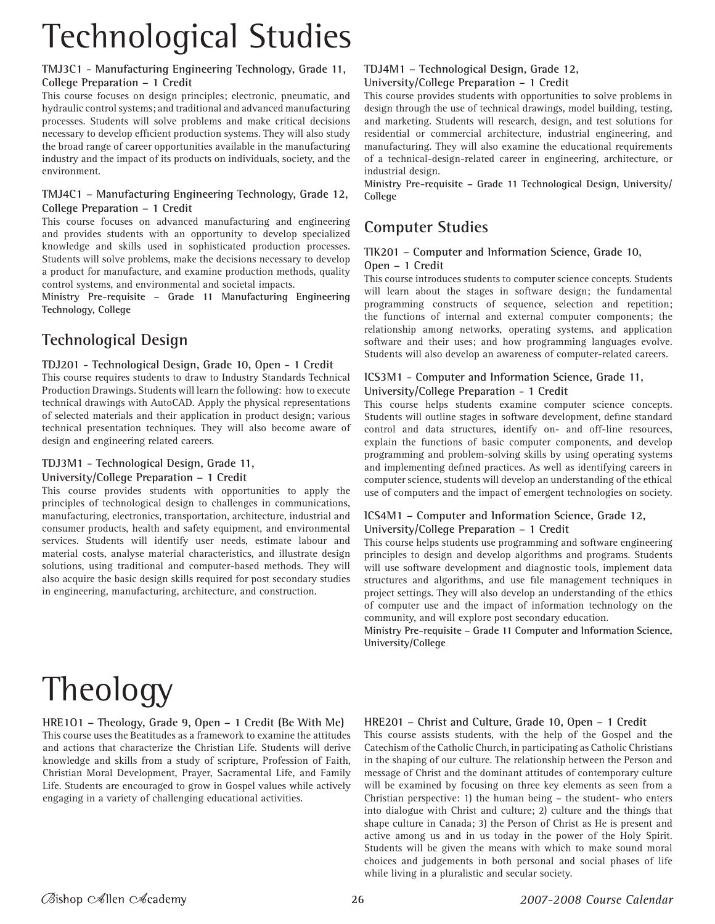# Technological Studies

#### **TMJ3C1 - Manufacturing Engineering Technology, Grade 11, College Preparation – 1 Credit**

This course focuses on design principles; electronic, pneumatic, and hydraulic control systems; and traditional and advanced manufacturing processes. Students will solve problems and make critical decisions necessary to develop efficient production systems. They will also study the broad range of career opportunities available in the manufacturing industry and the impact of its products on individuals, society, and the environment.

#### **TMJ4C1 – Manufacturing Engineering Technology, Grade 12, College Preparation – 1 Credit**

This course focuses on advanced manufacturing and engineering and provides students with an opportunity to develop specialized knowledge and skills used in sophisticated production processes. Students will solve problems, make the decisions necessary to develop a product for manufacture, and examine production methods, quality control systems, and environmental and societal impacts.

**Ministry Pre-requisite – Grade 11 Manufacturing Engineering Technology, College**

# **Technological Design**

## **TDJ201 - Technological Design, Grade 10, Open - 1 Credit**

This course requires students to draw to Industry Standards Technical Production Drawings. Students will learn the following: how to execute technical drawings with AutoCAD. Apply the physical representations of selected materials and their application in product design; various technical presentation techniques. They will also become aware of design and engineering related careers.

### **TDJ3M1 - Technological Design, Grade 11,**

#### **University/College Preparation – 1 Credit**

This course provides students with opportunities to apply the principles of technological design to challenges in communications, manufacturing, electronics, transportation, architecture, industrial and consumer products, health and safety equipment, and environmental services. Students will identify user needs, estimate labour and material costs, analyse material characteristics, and illustrate design solutions, using traditional and computer-based methods. They will also acquire the basic design skills required for post secondary studies in engineering, manufacturing, architecture, and construction.

# **TDJ4M1 – Technological Design, Grade 12,**

#### **University/College Preparation – 1 Credit**

This course provides students with opportunities to solve problems in design through the use of technical drawings, model building, testing, and marketing. Students will research, design, and test solutions for residential or commercial architecture, industrial engineering, and manufacturing. They will also examine the educational requirements of a technical-design-related career in engineering, architecture, or industrial design.

**Ministry Pre-requisite – Grade 11 Technological Design, University/ College**

# **Computer Studies**

#### **TIK201 – Computer and Information Science, Grade 10, Open – 1 Credit**

This course introduces students to computer science concepts. Students will learn about the stages in software design; the fundamental programming constructs of sequence, selection and repetition; the functions of internal and external computer components; the relationship among networks, operating systems, and application software and their uses; and how programming languages evolve. Students will also develop an awareness of computer-related careers.

#### **ICS3M1 - Computer and Information Science, Grade 11, University/College Preparation - 1 Credit**

This course helps students examine computer science concepts. Students will outline stages in software development, define standard control and data structures, identify on- and off-line resources, explain the functions of basic computer components, and develop programming and problem-solving skills by using operating systems and implementing defined practices. As well as identifying careers in computer science, students will develop an understanding of the ethical use of computers and the impact of emergent technologies on society.

#### **ICS4M1 – Computer and Information Science, Grade 12, University/College Preparation – 1 Credit**

This course helps students use programming and software engineering principles to design and develop algorithms and programs. Students will use software development and diagnostic tools, implement data structures and algorithms, and use file management techniques in project settings. They will also develop an understanding of the ethics of computer use and the impact of information technology on the community, and will explore post secondary education.

**Ministry Pre-requisite – Grade 11 Computer and Information Science, University/College**

# Theology

**HRE1O1 – Theology, Grade 9, Open – 1 Credit (Be With Me)** This course uses the Beatitudes as a framework to examine the attitudes and actions that characterize the Christian Life. Students will derive knowledge and skills from a study of scripture, Profession of Faith, Christian Moral Development, Prayer, Sacramental Life, and Family Life. Students are encouraged to grow in Gospel values while actively engaging in a variety of challenging educational activities.

## **HRE201 – Christ and Culture, Grade 10, Open – 1 Credit**

This course assists students, with the help of the Gospel and the Catechism of the Catholic Church, in participating as Catholic Christians in the shaping of our culture. The relationship between the Person and message of Christ and the dominant attitudes of contemporary culture will be examined by focusing on three key elements as seen from a Christian perspective: 1) the human being – the student- who enters into dialogue with Christ and culture; 2) culture and the things that shape culture in Canada; 3) the Person of Christ as He is present and active among us and in us today in the power of the Holy Spirit. Students will be given the means with which to make sound moral choices and judgements in both personal and social phases of life while living in a pluralistic and secular society.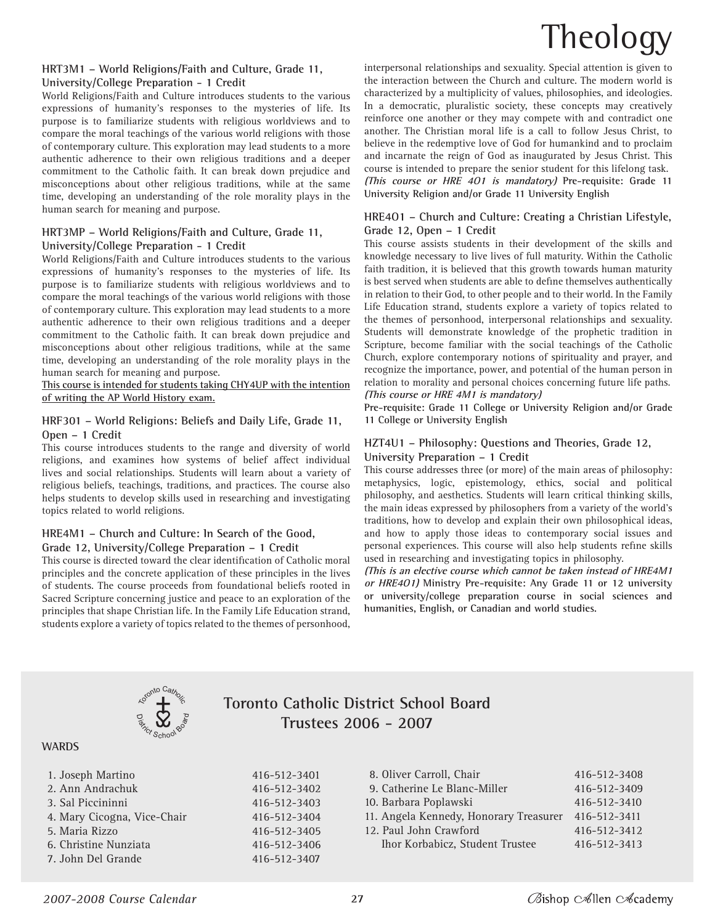# Theology

#### **HRT3M1 – World Religions/Faith and Culture, Grade 11, University/College Preparation - 1 Credit**

World Religions/Faith and Culture introduces students to the various expressions of humanity's responses to the mysteries of life. Its purpose is to familiarize students with religious worldviews and to compare the moral teachings of the various world religions with those of contemporary culture. This exploration may lead students to a more authentic adherence to their own religious traditions and a deeper commitment to the Catholic faith. It can break down prejudice and misconceptions about other religious traditions, while at the same time, developing an understanding of the role morality plays in the human search for meaning and purpose.

#### **HRT3MP – World Religions/Faith and Culture, Grade 11, University/College Preparation - 1 Credit**

World Religions/Faith and Culture introduces students to the various expressions of humanity's responses to the mysteries of life. Its purpose is to familiarize students with religious worldviews and to compare the moral teachings of the various world religions with those of contemporary culture. This exploration may lead students to a more authentic adherence to their own religious traditions and a deeper commitment to the Catholic faith. It can break down prejudice and misconceptions about other religious traditions, while at the same time, developing an understanding of the role morality plays in the human search for meaning and purpose.

**This course is intended for students taking CHY4UP with the intention of writing the AP World History exam.**

#### **HRF301 – World Religions: Beliefs and Daily Life, Grade 11, Open – 1 Credit**

This course introduces students to the range and diversity of world religions, and examines how systems of belief affect individual lives and social relationships. Students will learn about a variety of religious beliefs, teachings, traditions, and practices. The course also helps students to develop skills used in researching and investigating topics related to world religions.

#### **HRE4M1 – Church and Culture: In Search of the Good, Grade 12, University/College Preparation – 1 Credit**

This course is directed toward the clear identification of Catholic moral principles and the concrete application of these principles in the lives of students. The course proceeds from foundational beliefs rooted in Sacred Scripture concerning justice and peace to an exploration of the principles that shape Christian life. In the Family Life Education strand, students explore a variety of topics related to the themes of personhood,

interpersonal relationships and sexuality. Special attention is given to the interaction between the Church and culture. The modern world is characterized by a multiplicity of values, philosophies, and ideologies. In a democratic, pluralistic society, these concepts may creatively reinforce one another or they may compete with and contradict one another. The Christian moral life is a call to follow Jesus Christ, to believe in the redemptive love of God for humankind and to proclaim and incarnate the reign of God as inaugurated by Jesus Christ. This course is intended to prepare the senior student for this lifelong task. **(This course or HRE 4O1 is mandatory) Pre-requisite: Grade 11 University Religion and/or Grade 11 University English**

#### **HRE4O1 – Church and Culture: Creating a Christian Lifestyle, Grade 12, Open – 1 Credit**

This course assists students in their development of the skills and knowledge necessary to live lives of full maturity. Within the Catholic faith tradition, it is believed that this growth towards human maturity is best served when students are able to define themselves authentically in relation to their God, to other people and to their world. In the Family Life Education strand, students explore a variety of topics related to the themes of personhood, interpersonal relationships and sexuality. Students will demonstrate knowledge of the prophetic tradition in Scripture, become familiar with the social teachings of the Catholic Church, explore contemporary notions of spirituality and prayer, and recognize the importance, power, and potential of the human person in relation to morality and personal choices concerning future life paths. **(This course or HRE 4M1 is mandatory)**

**Pre-requisite: Grade 11 College or University Religion and/or Grade 11 College or University English**

#### **HZT4U1 – Philosophy: Questions and Theories, Grade 12, University Preparation – 1 Credit**

This course addresses three (or more) of the main areas of philosophy: metaphysics, logic, epistemology, ethics, social and political philosophy, and aesthetics. Students will learn critical thinking skills, the main ideas expressed by philosophers from a variety of the world's traditions, how to develop and explain their own philosophical ideas, and how to apply those ideas to contemporary social issues and personal experiences. This course will also help students refine skills used in researching and investigating topics in philosophy.

**(This is an elective course which cannot be taken instead of HRE4M1 or HRE4O1) Ministry Pre-requisite: Any Grade 11 or 12 university or university/college preparation course in social sciences and humanities, English, or Canadian and world studies.**



# **Toronto Catholic District School Board Trustees 2006 - 2007**

#### **WARDS**

| 1. Joseph Martino           | 416-512-3401 |
|-----------------------------|--------------|
| 2. Ann Andrachuk            | 416-512-3402 |
| 3. Sal Piccininni           | 416-512-3403 |
| 4. Mary Cicogna, Vice-Chair | 416-512-3404 |
| 5. Maria Rizzo              | 416-512-3405 |
| 6. Christine Nunziata       | 416-512-3406 |
| 7. John Del Grande          | 416-512-3407 |
|                             |              |

| 8. Oliver Carroll, Chair               | 416-512-3408 |
|----------------------------------------|--------------|
| 9. Catherine Le Blanc-Miller           | 416-512-3409 |
| 10. Barbara Poplawski                  | 416-512-3410 |
| 11. Angela Kennedy, Honorary Treasurer | 416-512-3411 |
| 12. Paul John Crawford                 | 416-512-3412 |
| Ihor Korbabicz, Student Trustee        | 416-512-3413 |